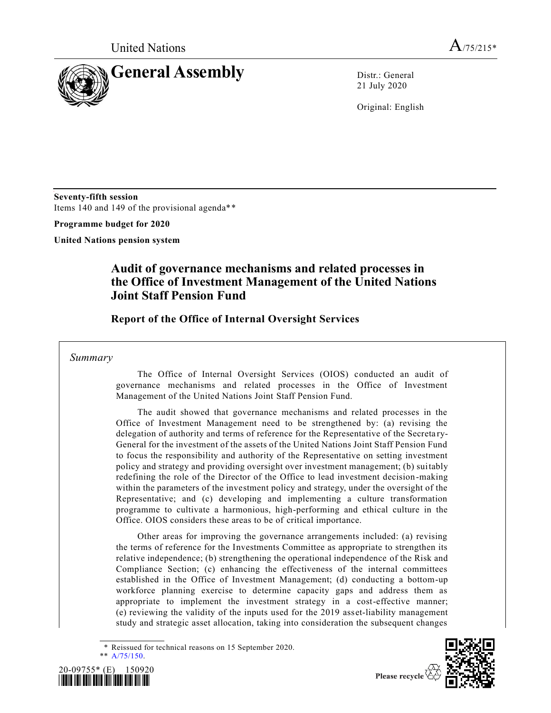

21 July 2020

Original: English

**Seventy-fifth session** Items 140 and 149 of the provisional agenda\*\*

**Programme budget for 2020**

**United Nations pension system**

## **Audit of governance mechanisms and related processes in the Office of Investment Management of the United Nations Joint Staff Pension Fund**

**Report of the Office of Internal Oversight Services** 

## *Summary*

The Office of Internal Oversight Services (OIOS) conducted an audit of governance mechanisms and related processes in the Office of Investment Management of the United Nations Joint Staff Pension Fund.

The audit showed that governance mechanisms and related processes in the Office of Investment Management need to be strengthened by: (a) revising the delegation of authority and terms of reference for the Representative of the Secreta ry-General for the investment of the assets of the United Nations Joint Staff Pension Fund to focus the responsibility and authority of the Representative on setting investment policy and strategy and providing oversight over investment management; (b) suitably redefining the role of the Director of the Office to lead investment decision -making within the parameters of the investment policy and strategy, under the oversight of the Representative; and (c) developing and implementing a culture transformation programme to cultivate a harmonious, high-performing and ethical culture in the Office. OIOS considers these areas to be of critical importance.

Other areas for improving the governance arrangements included: (a) revising the terms of reference for the Investments Committee as appropriate to strengthen its relative independence; (b) strengthening the operational independence of the Risk and Compliance Section; (c) enhancing the effectiveness of the internal committees established in the Office of Investment Management; (d) conducting a bottom-up workforce planning exercise to determine capacity gaps and address them as appropriate to implement the investment strategy in a cost-effective manner; (e) reviewing the validity of the inputs used for the 2019 asset-liability management study and strategic asset allocation, taking into consideration the subsequent changes

Reissued for technical reasons on 15 September 2020.







Please recycle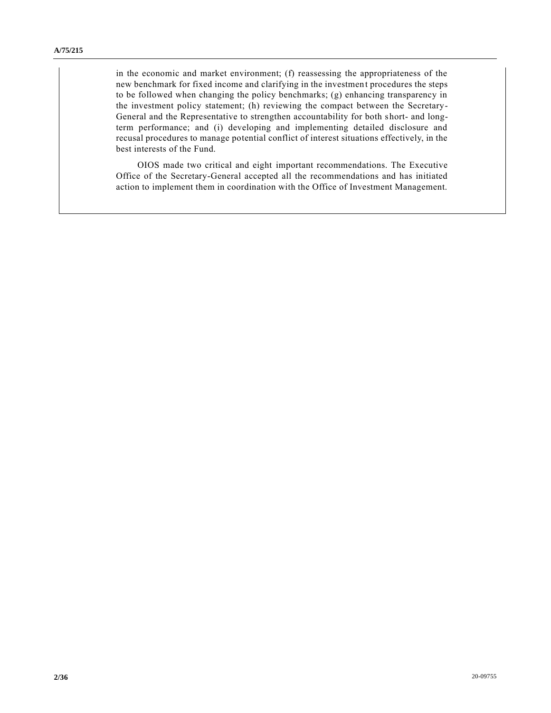in the economic and market environment; (f) reassessing the appropriateness of the new benchmark for fixed income and clarifying in the investment procedures the steps to be followed when changing the policy benchmarks; (g) enhancing transparency in the investment policy statement; (h) reviewing the compact between the Secretary-General and the Representative to strengthen accountability for both short- and longterm performance; and (i) developing and implementing detailed disclosure and recusal procedures to manage potential conflict of interest situations effectively, in the best interests of the Fund.

OIOS made two critical and eight important recommendations. The Executive Office of the Secretary-General accepted all the recommendations and has initiated action to implement them in coordination with the Office of Investment Management.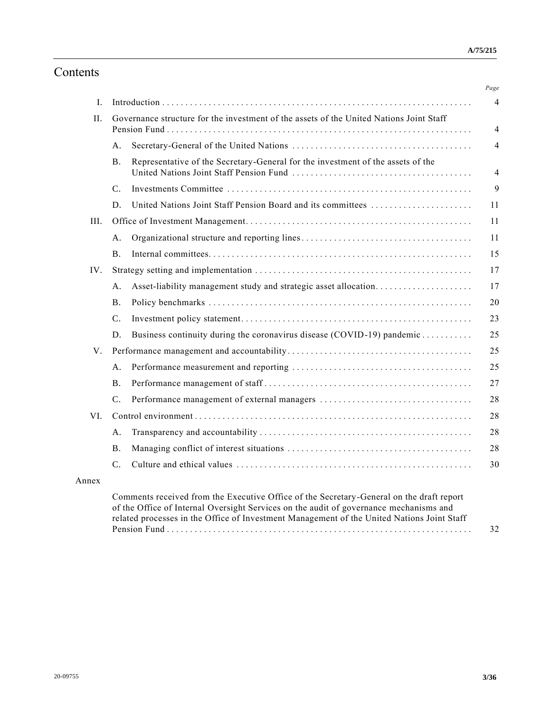# Contents

| II.   |             | Governance structure for the investment of the assets of the United Nations Joint Staff |  |  |  |  |
|-------|-------------|-----------------------------------------------------------------------------------------|--|--|--|--|
|       | А.          |                                                                                         |  |  |  |  |
|       | Β.          | Representative of the Secretary-General for the investment of the assets of the         |  |  |  |  |
|       | C.          |                                                                                         |  |  |  |  |
|       | D.          | United Nations Joint Staff Pension Board and its committees                             |  |  |  |  |
| III.  |             |                                                                                         |  |  |  |  |
|       | А.          |                                                                                         |  |  |  |  |
|       | В.          |                                                                                         |  |  |  |  |
| IV.   |             |                                                                                         |  |  |  |  |
|       | А.          | Asset-liability management study and strategic asset allocation                         |  |  |  |  |
|       | В.          |                                                                                         |  |  |  |  |
|       | C.          |                                                                                         |  |  |  |  |
|       | D.          | Business continuity during the coronavirus disease (COVID-19) pandemic                  |  |  |  |  |
| V.    |             |                                                                                         |  |  |  |  |
|       | А.          |                                                                                         |  |  |  |  |
|       | В.          |                                                                                         |  |  |  |  |
|       | C.          |                                                                                         |  |  |  |  |
| VI.   |             |                                                                                         |  |  |  |  |
|       | А.          |                                                                                         |  |  |  |  |
|       | <b>B.</b>   |                                                                                         |  |  |  |  |
|       | $C_{\cdot}$ |                                                                                         |  |  |  |  |
| Annex |             |                                                                                         |  |  |  |  |

Pension Fund ................................ ................................ . . 32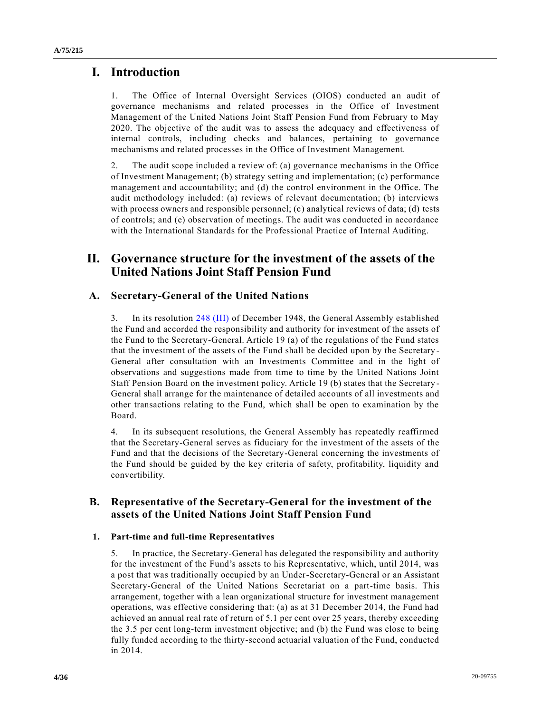## **I. Introduction**

1. The Office of Internal Oversight Services (OIOS) conducted an audit of governance mechanisms and related processes in the Office of Investment Management of the United Nations Joint Staff Pension Fund from February to May 2020. The objective of the audit was to assess the adequacy and effectiveness of internal controls, including checks and balances, pertaining to governance mechanisms and related processes in the Office of Investment Management.

2. The audit scope included a review of: (a) governance mechanisms in the Office of Investment Management; (b) strategy setting and implementation; (c) performance management and accountability; and (d) the control environment in the Office. The audit methodology included: (a) reviews of relevant documentation; (b) interviews with process owners and responsible personnel; (c) analytical reviews of data; (d) tests of controls; and (e) observation of meetings. The audit was conducted in accordance with the International Standards for the Professional Practice of Internal Auditing.

## **II. Governance structure for the investment of the assets of the United Nations Joint Staff Pension Fund**

## **A. Secretary-General of the United Nations**

3. In its resolution [248 \(III\)](https://undocs.org/en/A/RES/248(III)) of December 1948, the General Assembly established the Fund and accorded the responsibility and authority for investment of the assets of the Fund to the Secretary-General. Article 19 (a) of the regulations of the Fund states that the investment of the assets of the Fund shall be decided upon by the Secretary - General after consultation with an Investments Committee and in the light of observations and suggestions made from time to time by the United Nations Joint Staff Pension Board on the investment policy. Article 19 (b) states that the Secretary - General shall arrange for the maintenance of detailed accounts of all investments and other transactions relating to the Fund, which shall be open to examination by the Board.

4. In its subsequent resolutions, the General Assembly has repeatedly reaffirmed that the Secretary-General serves as fiduciary for the investment of the assets of the Fund and that the decisions of the Secretary-General concerning the investments of the Fund should be guided by the key criteria of safety, profitability, liquidity and convertibility.

## **B. Representative of the Secretary-General for the investment of the assets of the United Nations Joint Staff Pension Fund**

### **1. Part-time and full-time Representatives**

5. In practice, the Secretary-General has delegated the responsibility and authority for the investment of the Fund's assets to his Representative, which, until 2014, was a post that was traditionally occupied by an Under-Secretary-General or an Assistant Secretary-General of the United Nations Secretariat on a part-time basis. This arrangement, together with a lean organizational structure for investment management operations, was effective considering that: (a) as at 31 December 2014, the Fund had achieved an annual real rate of return of 5.1 per cent over 25 years, thereby exceeding the 3.5 per cent long-term investment objective; and (b) the Fund was close to being fully funded according to the thirty-second actuarial valuation of the Fund, conducted in 2014.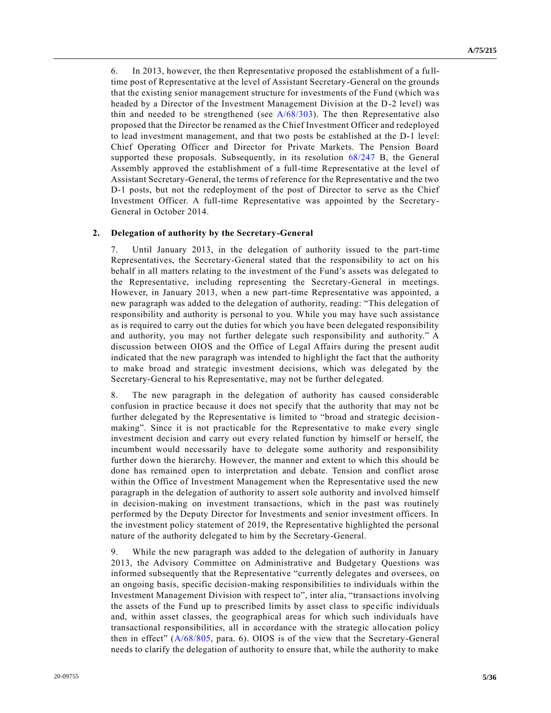6. In 2013, however, the then Representative proposed the establishment of a fulltime post of Representative at the level of Assistant Secretary-General on the grounds that the existing senior management structure for investments of the Fund (which wa s headed by a Director of the Investment Management Division at the D-2 level) was thin and needed to be strengthened (see  $A/68/303$ ). The then Representative also proposed that the Director be renamed as the Chief Investment Officer and redeployed to lead investment management, and that two posts be established at the D-1 level: Chief Operating Officer and Director for Private Markets. The Pension Board supported these proposals. Subsequently, in its resolution [68/247 B,](https://undocs.org/en/A/RES/68/247) the General Assembly approved the establishment of a full-time Representative at the level of Assistant Secretary-General, the terms of reference for the Representative and the two D-1 posts, but not the redeployment of the post of Director to serve as the Chief Investment Officer. A full-time Representative was appointed by the Secretary-General in October 2014.

#### **2. Delegation of authority by the Secretary-General**

7. Until January 2013, in the delegation of authority issued to the part-time Representatives, the Secretary-General stated that the responsibility to act on his behalf in all matters relating to the investment of the Fund's assets was delegated to the Representative, including representing the Secretary-General in meetings. However, in January 2013, when a new part-time Representative was appointed, a new paragraph was added to the delegation of authority, reading: "This delegation of responsibility and authority is personal to you. While you may have such assistance as is required to carry out the duties for which you have been delegated responsibility and authority, you may not further delegate such responsibility and authority." A discussion between OIOS and the Office of Legal Affairs during the present audit indicated that the new paragraph was intended to highlight the fact that the authority to make broad and strategic investment decisions, which was delegated by the Secretary-General to his Representative, may not be further delegated.

8. The new paragraph in the delegation of authority has caused considerable confusion in practice because it does not specify that the authority that may not be further delegated by the Representative is limited to "broad and strategic decision making". Since it is not practicable for the Representative to make every single investment decision and carry out every related function by himself or herself, the incumbent would necessarily have to delegate some authority and responsibility further down the hierarchy. However, the manner and extent to which this should be done has remained open to interpretation and debate. Tension and conflict arose within the Office of Investment Management when the Representative used the new paragraph in the delegation of authority to assert sole authority and involved himself in decision-making on investment transactions, which in the past was routinely performed by the Deputy Director for Investments and senior investment officers. In the investment policy statement of 2019, the Representative highlighted the personal nature of the authority delegated to him by the Secretary-General.

9. While the new paragraph was added to the delegation of authority in January 2013, the Advisory Committee on Administrative and Budgetary Questions was informed subsequently that the Representative "currently delegates and oversees, on an ongoing basis, specific decision-making responsibilities to individuals within the Investment Management Division with respect to", inter alia, "transactions involving the assets of the Fund up to prescribed limits by asset class to spe cific individuals and, within asset classes, the geographical areas for which such individuals have transactional responsibilities, all in accordance with the strategic allocation policy then in effect" [\(A/68/805,](https://undocs.org/en/A/68/805) para. 6). OIOS is of the view that the Secretary-General needs to clarify the delegation of authority to ensure that, while the authority to make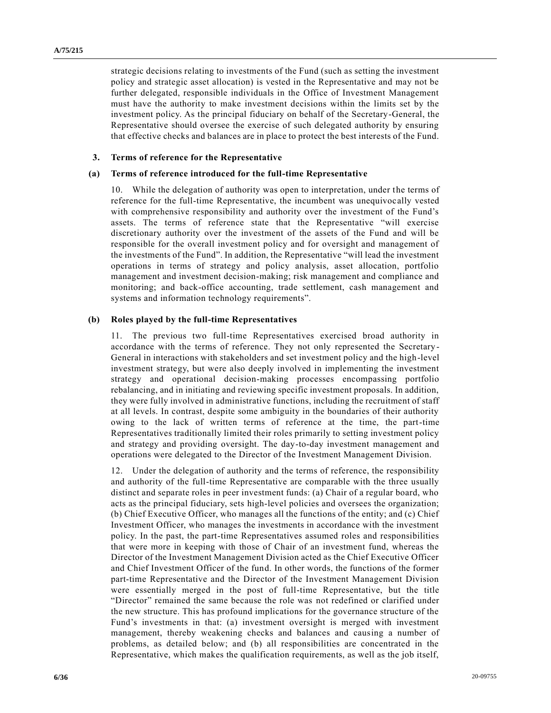strategic decisions relating to investments of the Fund (such as setting the investment policy and strategic asset allocation) is vested in the Representative and may not be further delegated, responsible individuals in the Office of Investment Management must have the authority to make investment decisions within the limits set by the investment policy. As the principal fiduciary on behalf of the Secretary-General, the Representative should oversee the exercise of such delegated authority by ensuring that effective checks and balances are in place to protect the best interests of the Fund.

#### **3. Terms of reference for the Representative**

#### **(a) Terms of reference introduced for the full-time Representative**

10. While the delegation of authority was open to interpretation, under the terms of reference for the full-time Representative, the incumbent was unequivocally vested with comprehensive responsibility and authority over the investment of the Fund's assets. The terms of reference state that the Representative "will exercise discretionary authority over the investment of the assets of the Fund and will be responsible for the overall investment policy and for oversight and management of the investments of the Fund". In addition, the Representative "will lead the investment operations in terms of strategy and policy analysis, asset allocation, portfolio management and investment decision-making; risk management and compliance and monitoring; and back-office accounting, trade settlement, cash management and systems and information technology requirements".

#### **(b) Roles played by the full-time Representatives**

11. The previous two full-time Representatives exercised broad authority in accordance with the terms of reference. They not only represented the Secretary - General in interactions with stakeholders and set investment policy and the high-level investment strategy, but were also deeply involved in implementing the investment strategy and operational decision-making processes encompassing portfolio rebalancing, and in initiating and reviewing specific investment proposals. In addition, they were fully involved in administrative functions, including the recruitment of staff at all levels. In contrast, despite some ambiguity in the boundaries of their authority owing to the lack of written terms of reference at the time, the part-time Representatives traditionally limited their roles primarily to setting investment policy and strategy and providing oversight. The day-to-day investment management and operations were delegated to the Director of the Investment Management Division.

12. Under the delegation of authority and the terms of reference, the responsibility and authority of the full-time Representative are comparable with the three usually distinct and separate roles in peer investment funds: (a) Chair of a regular board, who acts as the principal fiduciary, sets high-level policies and oversees the organization; (b) Chief Executive Officer, who manages all the functions of the entity; and (c) Chief Investment Officer, who manages the investments in accordance with the investment policy. In the past, the part-time Representatives assumed roles and responsibilities that were more in keeping with those of Chair of an investment fund, whereas the Director of the Investment Management Division acted as the Chief Executive Officer and Chief Investment Officer of the fund. In other words, the functions of the former part-time Representative and the Director of the Investment Management Division were essentially merged in the post of full-time Representative, but the title "Director" remained the same because the role was not redefined or clarified under the new structure. This has profound implications for the governance structure of the Fund's investments in that: (a) investment oversight is merged with investment management, thereby weakening checks and balances and causing a number of problems, as detailed below; and (b) all responsibilities are concentrated in the Representative, which makes the qualification requirements, as well as the job itself,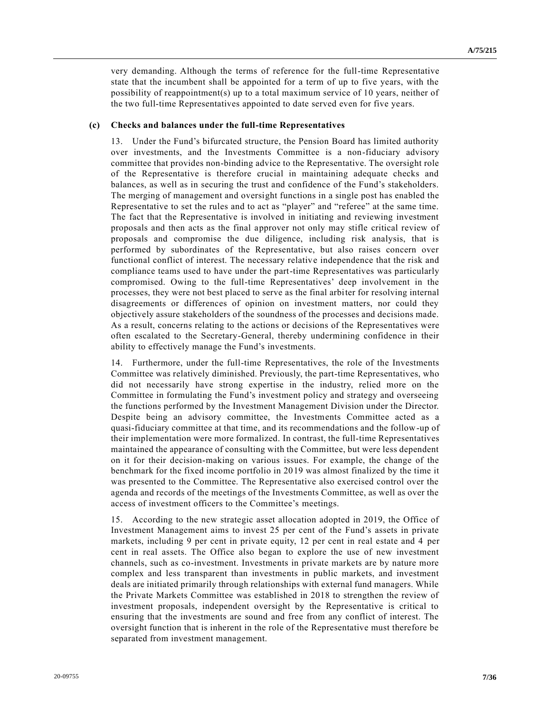very demanding. Although the terms of reference for the full-time Representative state that the incumbent shall be appointed for a term of up to five years, with the possibility of reappointment(s) up to a total maximum service of 10 years, neither of the two full-time Representatives appointed to date served even for five years.

#### **(c) Checks and balances under the full-time Representatives**

13. Under the Fund's bifurcated structure, the Pension Board has limited authority over investments, and the Investments Committee is a non-fiduciary advisory committee that provides non-binding advice to the Representative. The oversight role of the Representative is therefore crucial in maintaining adequate checks and balances, as well as in securing the trust and confidence of the Fund's stakeholders. The merging of management and oversight functions in a single post has enabled the Representative to set the rules and to act as "player" and "referee" at the same time. The fact that the Representative is involved in initiating and reviewing investment proposals and then acts as the final approver not only may stifle critical review of proposals and compromise the due diligence, including risk analysis, that is performed by subordinates of the Representative, but also raises concern over functional conflict of interest. The necessary relative independence that the risk and compliance teams used to have under the part-time Representatives was particularly compromised. Owing to the full-time Representatives' deep involvement in the processes, they were not best placed to serve as the final arbiter for resolving internal disagreements or differences of opinion on investment matters, nor could they objectively assure stakeholders of the soundness of the processes and decisions made. As a result, concerns relating to the actions or decisions of the Representatives were often escalated to the Secretary-General, thereby undermining confidence in their ability to effectively manage the Fund's investments.

14. Furthermore, under the full-time Representatives, the role of the Investments Committee was relatively diminished. Previously, the part-time Representatives, who did not necessarily have strong expertise in the industry, relied more on the Committee in formulating the Fund's investment policy and strategy and overseeing the functions performed by the Investment Management Division under the Director. Despite being an advisory committee, the Investments Committee acted as a quasi-fiduciary committee at that time, and its recommendations and the follow-up of their implementation were more formalized. In contrast, the full-time Representatives maintained the appearance of consulting with the Committee, but were less dependent on it for their decision-making on various issues. For example, the change of the benchmark for the fixed income portfolio in 2019 was almost finalized by the time it was presented to the Committee. The Representative also exercised control over the agenda and records of the meetings of the Investments Committee, as well as over the access of investment officers to the Committee's meetings.

15. According to the new strategic asset allocation adopted in 2019, the Office of Investment Management aims to invest 25 per cent of the Fund's assets in private markets, including 9 per cent in private equity, 12 per cent in real estate and 4 per cent in real assets. The Office also began to explore the use of new investment channels, such as co-investment. Investments in private markets are by nature more complex and less transparent than investments in public markets, and investment deals are initiated primarily through relationships with external fund managers. While the Private Markets Committee was established in 2018 to strengthen the review of investment proposals, independent oversight by the Representative is critical to ensuring that the investments are sound and free from any conflict of interest. The oversight function that is inherent in the role of the Representative must therefore be separated from investment management.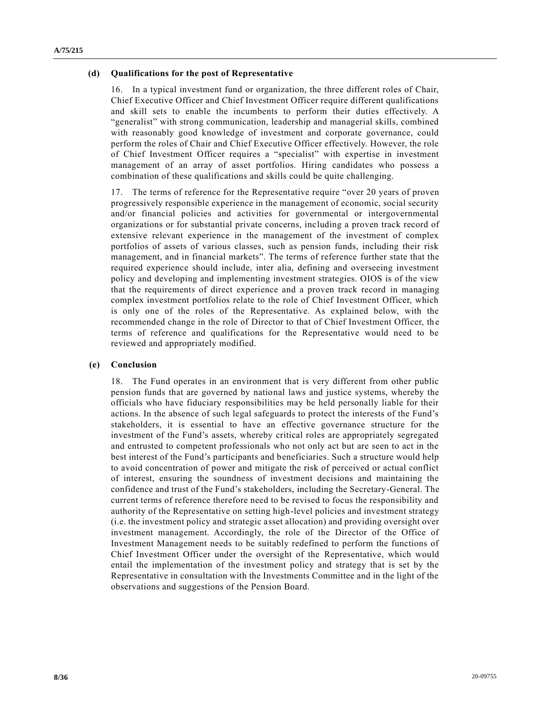#### **(d) Qualifications for the post of Representative**

16. In a typical investment fund or organization, the three different roles of Chair, Chief Executive Officer and Chief Investment Officer require different qualifications and skill sets to enable the incumbents to perform their duties effectively. A "generalist" with strong communication, leadership and managerial skills, combined with reasonably good knowledge of investment and corporate governance, could perform the roles of Chair and Chief Executive Officer effectively. However, the role of Chief Investment Officer requires a "specialist" with expertise in investment management of an array of asset portfolios. Hiring candidates who possess a combination of these qualifications and skills could be quite challenging.

17. The terms of reference for the Representative require "over 20 years of proven progressively responsible experience in the management of economic, social security and/or financial policies and activities for governmental or intergovernmental organizations or for substantial private concerns, including a proven track record of extensive relevant experience in the management of the investment of complex portfolios of assets of various classes, such as pension funds, including their risk management, and in financial markets". The terms of reference further state that the required experience should include, inter alia, defining and overseeing investment policy and developing and implementing investment strategies. OIOS is of the view that the requirements of direct experience and a proven track record in managing complex investment portfolios relate to the role of Chief Investment Officer, which is only one of the roles of the Representative. As explained below, with the recommended change in the role of Director to that of Chief Investment Officer, th e terms of reference and qualifications for the Representative would need to be reviewed and appropriately modified.

#### **(e) Conclusion**

18. The Fund operates in an environment that is very different from other public pension funds that are governed by national laws and justice systems, whereby the officials who have fiduciary responsibilities may be held personally liable for their actions. In the absence of such legal safeguards to protect the interests of the Fund's stakeholders, it is essential to have an effective governance structure for the investment of the Fund's assets, whereby critical roles are appropriately segregated and entrusted to competent professionals who not only act but are seen to act in the best interest of the Fund's participants and beneficiaries. Such a structure would help to avoid concentration of power and mitigate the risk of perceived or actual conflict of interest, ensuring the soundness of investment decisions and maintaining the confidence and trust of the Fund's stakeholders, including the Secretary-General. The current terms of reference therefore need to be revised to focus the responsibility and authority of the Representative on setting high-level policies and investment strategy (i.e. the investment policy and strategic asset allocation) and providing oversight over investment management. Accordingly, the role of the Director of the Office of Investment Management needs to be suitably redefined to perform the functions of Chief Investment Officer under the oversight of the Representative, which would entail the implementation of the investment policy and strategy that is set by the Representative in consultation with the Investments Committee and in the light of the observations and suggestions of the Pension Board.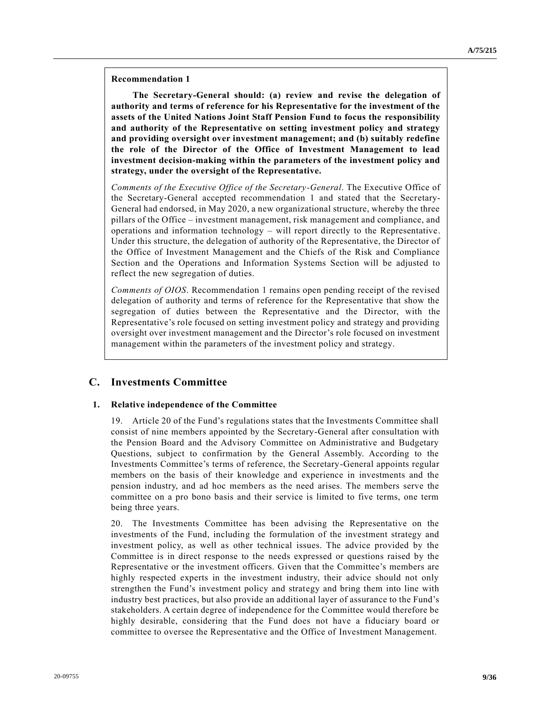#### **Recommendation 1**

**The Secretary-General should: (a) review and revise the delegation of authority and terms of reference for his Representative for the investment of the assets of the United Nations Joint Staff Pension Fund to focus the responsibility and authority of the Representative on setting investment policy and strategy and providing oversight over investment management; and (b) suitably redefine the role of the Director of the Office of Investment Management to lead investment decision-making within the parameters of the investment policy and strategy, under the oversight of the Representative.**

*Comments of the Executive Office of the Secretary-General*. The Executive Office of the Secretary-General accepted recommendation 1 and stated that the Secretary-General had endorsed, in May 2020, a new organizational structure, whereby the three pillars of the Office – investment management, risk management and compliance, and operations and information technology – will report directly to the Representative. Under this structure, the delegation of authority of the Representative, the Director of the Office of Investment Management and the Chiefs of the Risk and Compliance Section and the Operations and Information Systems Section will be adjusted to reflect the new segregation of duties.

*Comments of OIOS*. Recommendation 1 remains open pending receipt of the revised delegation of authority and terms of reference for the Representative that show the segregation of duties between the Representative and the Director, with the Representative's role focused on setting investment policy and strategy and providing oversight over investment management and the Director's role focused on investment management within the parameters of the investment policy and strategy.

## **C. Investments Committee**

### **1. Relative independence of the Committee**

19. Article 20 of the Fund's regulations states that the Investments Committee shall consist of nine members appointed by the Secretary-General after consultation with the Pension Board and the Advisory Committee on Administrative and Budgetary Questions, subject to confirmation by the General Assembly. According to the Investments Committee's terms of reference, the Secretary-General appoints regular members on the basis of their knowledge and experience in investments and the pension industry, and ad hoc members as the need arises. The members serve the committee on a pro bono basis and their service is limited to five terms, one term being three years.

20. The Investments Committee has been advising the Representative on the investments of the Fund, including the formulation of the investment strategy and investment policy, as well as other technical issues. The advice provided by the Committee is in direct response to the needs expressed or questions raised by the Representative or the investment officers. Given that the Committee's members are highly respected experts in the investment industry, their advice should not only strengthen the Fund's investment policy and strategy and bring them into line with industry best practices, but also provide an additional layer of assurance to the Fund's stakeholders. A certain degree of independence for the Committee would therefore be highly desirable, considering that the Fund does not have a fiduciary board or committee to oversee the Representative and the Office of Investment Management.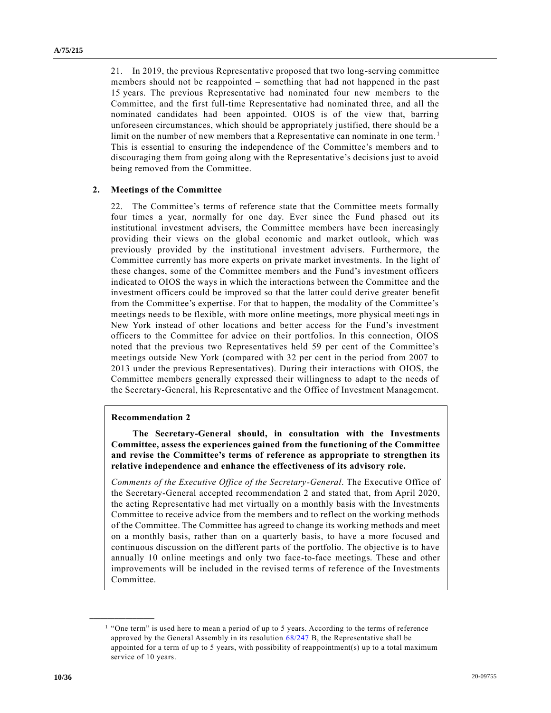21. In 2019, the previous Representative proposed that two long-serving committee members should not be reappointed – something that had not happened in the past 15 years. The previous Representative had nominated four new members to the Committee, and the first full-time Representative had nominated three, and all the nominated candidates had been appointed. OIOS is of the view that, barring unforeseen circumstances, which should be appropriately justified, there should be a limit on the number of new members that a Representative can nominate in one term.<sup>1</sup> This is essential to ensuring the independence of the Committee's members and to discouraging them from going along with the Representative's decisions just to avoid being removed from the Committee.

#### **2. Meetings of the Committee**

22. The Committee's terms of reference state that the Committee meets formally four times a year, normally for one day. Ever since the Fund phased out its institutional investment advisers, the Committee members have been increasingly providing their views on the global economic and market outlook, which was previously provided by the institutional investment advisers. Furthermore, the Committee currently has more experts on private market investments. In the light of these changes, some of the Committee members and the Fund's investment officers indicated to OIOS the ways in which the interactions between the Committee and the investment officers could be improved so that the latter could derive greater benefit from the Committee's expertise. For that to happen, the modality of the Committee's meetings needs to be flexible, with more online meetings, more physical meeti ngs in New York instead of other locations and better access for the Fund's investment officers to the Committee for advice on their portfolios. In this connection, OIOS noted that the previous two Representatives held 59 per cent of the Committee's meetings outside New York (compared with 32 per cent in the period from 2007 to 2013 under the previous Representatives). During their interactions with OIOS, the Committee members generally expressed their willingness to adapt to the needs of the Secretary-General, his Representative and the Office of Investment Management.

#### **Recommendation 2**

**\_\_\_\_\_\_\_\_\_\_\_\_\_\_\_\_\_\_**

**The Secretary-General should, in consultation with the Investments Committee, assess the experiences gained from the functioning of the Committee and revise the Committee's terms of reference as appropriate to strengthen its relative independence and enhance the effectiveness of its advisory role.**

*Comments of the Executive Office of the Secretary-General*. The Executive Office of the Secretary-General accepted recommendation 2 and stated that, from April 2020, the acting Representative had met virtually on a monthly basis with the Investments Committee to receive advice from the members and to reflect on the working methods of the Committee. The Committee has agreed to change its working methods and meet on a monthly basis, rather than on a quarterly basis, to have a more focused and continuous discussion on the different parts of the portfolio. The objective is to have annually 10 online meetings and only two face-to-face meetings. These and other improvements will be included in the revised terms of reference of the Investments Committee.

<sup>&</sup>lt;sup>1</sup> "One term" is used here to mean a period of up to 5 years. According to the terms of reference approved by the General Assembly in its resolution [68/247 B,](https://undocs.org/en/A/RES/68/247) the Representative shall be appointed for a term of up to 5 years, with possibility of reappointment(s) up to a total maximum service of 10 years.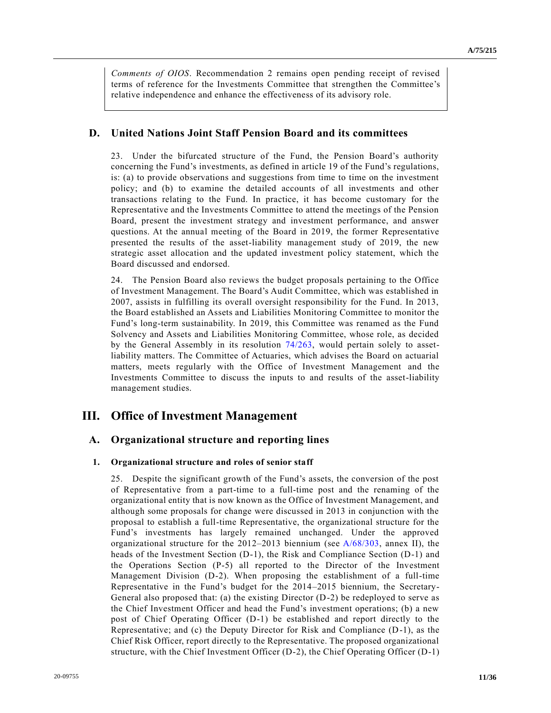*Comments of OIOS*. Recommendation 2 remains open pending receipt of revised terms of reference for the Investments Committee that strengthen the Committee's relative independence and enhance the effectiveness of its advisory role.

### **D. United Nations Joint Staff Pension Board and its committees**

23. Under the bifurcated structure of the Fund, the Pension Board's authority concerning the Fund's investments, as defined in article 19 of the Fund's regulations, is: (a) to provide observations and suggestions from time to time on the investment policy; and (b) to examine the detailed accounts of all investments and other transactions relating to the Fund. In practice, it has become customary for the Representative and the Investments Committee to attend the meetings of the Pension Board, present the investment strategy and investment performance, and answer questions. At the annual meeting of the Board in 2019, the former Representative presented the results of the asset-liability management study of 2019, the new strategic asset allocation and the updated investment policy statement, which the Board discussed and endorsed.

24. The Pension Board also reviews the budget proposals pertaining to the Office of Investment Management. The Board's Audit Committee, which was established in 2007, assists in fulfilling its overall oversight responsibility for the Fund. In 2013, the Board established an Assets and Liabilities Monitoring Committee to monitor the Fund's long-term sustainability. In 2019, this Committee was renamed as the Fund Solvency and Assets and Liabilities Monitoring Committee, whose role, as decided by the General Assembly in its resolution [74/263,](https://undocs.org/en/A/RES/74/263) would pertain solely to assetliability matters. The Committee of Actuaries, which advises the Board on actuarial matters, meets regularly with the Office of Investment Management and the Investments Committee to discuss the inputs to and results of the asset-liability management studies.

## **III. Office of Investment Management**

### **A. Organizational structure and reporting lines**

#### **1. Organizational structure and roles of senior staff**

25. Despite the significant growth of the Fund's assets, the conversion of the post of Representative from a part-time to a full-time post and the renaming of the organizational entity that is now known as the Office of Investment Management, and although some proposals for change were discussed in 2013 in conjunction with the proposal to establish a full-time Representative, the organizational structure for the Fund's investments has largely remained unchanged. Under the approved organizational structure for the  $2012-2013$  biennium (see  $A/68/303$ , annex II), the heads of the Investment Section (D-1), the Risk and Compliance Section (D-1) and the Operations Section (P-5) all reported to the Director of the Investment Management Division (D-2). When proposing the establishment of a full-time Representative in the Fund's budget for the 2014–2015 biennium, the Secretary-General also proposed that: (a) the existing Director  $(D-2)$  be redeployed to serve as the Chief Investment Officer and head the Fund's investment operations; (b) a new post of Chief Operating Officer (D-1) be established and report directly to the Representative; and (c) the Deputy Director for Risk and Compliance (D-1), as the Chief Risk Officer, report directly to the Representative. The proposed organizational structure, with the Chief Investment Officer (D-2), the Chief Operating Officer (D-1)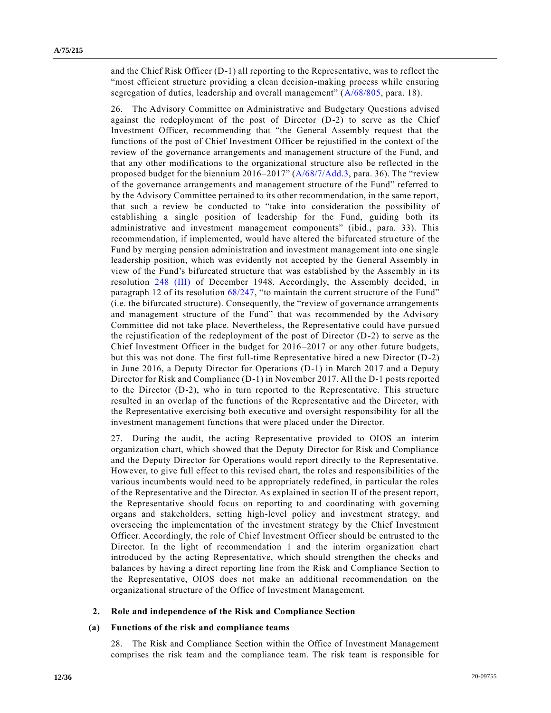and the Chief Risk Officer (D-1) all reporting to the Representative, was to reflect the "most efficient structure providing a clean decision-making process while ensuring segregation of duties, leadership and overall management" [\(A/68/805,](https://undocs.org/en/A/68/805) para. 18).

26. The Advisory Committee on Administrative and Budgetary Questions advised against the redeployment of the post of Director (D-2) to serve as the Chief Investment Officer, recommending that "the General Assembly request that the functions of the post of Chief Investment Officer be rejustified in the context of the review of the governance arrangements and management structure of the Fund, and that any other modifications to the organizational structure also be reflected in the proposed budget for the biennium 2016–2017" [\(A/68/7/Add.3,](https://undocs.org/en/A/68/7/Add.3) para. 36). The "review of the governance arrangements and management structure of the Fund" referred to by the Advisory Committee pertained to its other recommendation, in the same report, that such a review be conducted to "take into consideration the possibility of establishing a single position of leadership for the Fund, guiding both its administrative and investment management components" (ibid., para. 33). This recommendation, if implemented, would have altered the bifurcated stru cture of the Fund by merging pension administration and investment management into one single leadership position, which was evidently not accepted by the General Assembly in view of the Fund's bifurcated structure that was established by the Assembly in its resolution [248 \(III\)](https://undocs.org/en/A/RES/248(III)) of December 1948. Accordingly, the Assembly decided, in paragraph 12 of its resolution [68/247,](https://undocs.org/en/A/RES/68/247) "to maintain the current structure of the Fund" (i.e. the bifurcated structure). Consequently, the "review of governance arrangements and management structure of the Fund" that was recommended by the Advisory Committee did not take place. Nevertheless, the Representative could have pursue d the rejustification of the redeployment of the post of Director (D-2) to serve as the Chief Investment Officer in the budget for 2016–2017 or any other future budgets, but this was not done. The first full-time Representative hired a new Director (D-2) in June 2016, a Deputy Director for Operations (D-1) in March 2017 and a Deputy Director for Risk and Compliance (D-1) in November 2017. All the D-1 posts reported to the Director (D-2), who in turn reported to the Representative. This structure resulted in an overlap of the functions of the Representative and the Director, with the Representative exercising both executive and oversight responsibility for all the investment management functions that were placed under the Director.

27. During the audit, the acting Representative provided to OIOS an interim organization chart, which showed that the Deputy Director for Risk and Compliance and the Deputy Director for Operations would report directly to the Representative. However, to give full effect to this revised chart, the roles and responsibilities of the various incumbents would need to be appropriately redefined, in particular the roles of the Representative and the Director. As explained in section II of the present report, the Representative should focus on reporting to and coordinating with governing organs and stakeholders, setting high-level policy and investment strategy, and overseeing the implementation of the investment strategy by the Chief Investment Officer. Accordingly, the role of Chief Investment Officer should be entrusted to the Director. In the light of recommendation 1 and the interim organization chart introduced by the acting Representative, which should strengthen the checks and balances by having a direct reporting line from the Risk and Compliance Section to the Representative, OIOS does not make an additional recommendation on the organizational structure of the Office of Investment Management.

#### **2. Role and independence of the Risk and Compliance Section**

#### **(a) Functions of the risk and compliance teams**

28. The Risk and Compliance Section within the Office of Investment Management comprises the risk team and the compliance team. The risk team is responsible for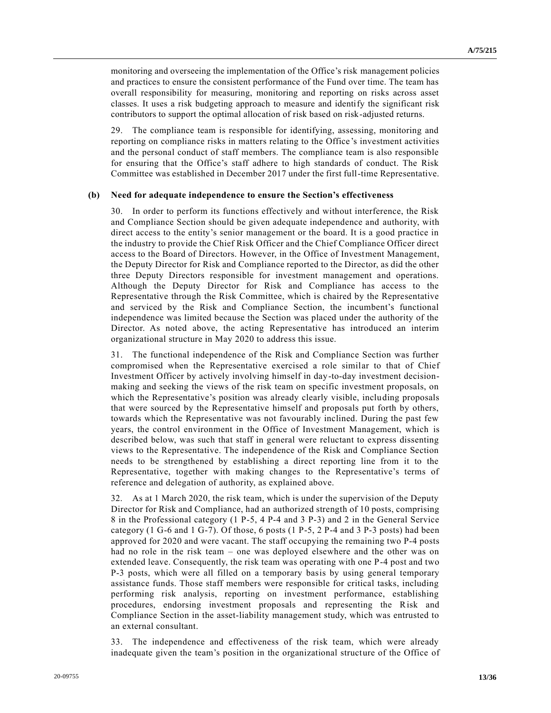monitoring and overseeing the implementation of the Office's risk management policies and practices to ensure the consistent performance of the Fund over time. The team has overall responsibility for measuring, monitoring and reporting on risks across asset classes. It uses a risk budgeting approach to measure and identify the significant risk contributors to support the optimal allocation of risk based on risk-adjusted returns.

29. The compliance team is responsible for identifying, assessing, monitoring and reporting on compliance risks in matters relating to the Office 's investment activities and the personal conduct of staff members. The compliance team is also responsible for ensuring that the Office's staff adhere to high standards of conduct. The Risk Committee was established in December 2017 under the first full-time Representative.

#### **(b) Need for adequate independence to ensure the Section's effectiveness**

30. In order to perform its functions effectively and without interference, the Risk and Compliance Section should be given adequate independence and authority, with direct access to the entity's senior management or the board. It is a good practice in the industry to provide the Chief Risk Officer and the Chief Compliance Officer direct access to the Board of Directors. However, in the Office of Investment Management, the Deputy Director for Risk and Compliance reported to the Director, as did the other three Deputy Directors responsible for investment management and operations. Although the Deputy Director for Risk and Compliance has access to the Representative through the Risk Committee, which is chaired by the Representative and serviced by the Risk and Compliance Section, the incumbent's functional independence was limited because the Section was placed under the authority of the Director. As noted above, the acting Representative has introduced an interim organizational structure in May 2020 to address this issue.

31. The functional independence of the Risk and Compliance Section was further compromised when the Representative exercised a role similar to that of Chief Investment Officer by actively involving himself in day-to-day investment decisionmaking and seeking the views of the risk team on specific investment proposals, on which the Representative's position was already clearly visible, including proposals that were sourced by the Representative himself and proposals put forth by others, towards which the Representative was not favourably inclined. During the past few years, the control environment in the Office of Investment Management, which is described below, was such that staff in general were reluctant to express dissenting views to the Representative. The independence of the Risk and Compliance Section needs to be strengthened by establishing a direct reporting line from it to the Representative, together with making changes to the Representative's terms of reference and delegation of authority, as explained above.

32. As at 1 March 2020, the risk team, which is under the supervision of the Deputy Director for Risk and Compliance, had an authorized strength of 10 posts, comprising 8 in the Professional category (1 P-5, 4 P-4 and 3 P-3) and 2 in the General Service category (1 G-6 and 1 G-7). Of those, 6 posts (1 P-5, 2 P-4 and 3 P-3 posts) had been approved for 2020 and were vacant. The staff occupying the remaining two P-4 posts had no role in the risk team – one was deployed elsewhere and the other was on extended leave. Consequently, the risk team was operating with one P-4 post and two P-3 posts, which were all filled on a temporary basis by using general temporary assistance funds. Those staff members were responsible for critical tasks, including performing risk analysis, reporting on investment performance, establishing procedures, endorsing investment proposals and representing the Risk and Compliance Section in the asset-liability management study, which was entrusted to an external consultant.

33. The independence and effectiveness of the risk team, which were already inadequate given the team's position in the organizational structure of the Office of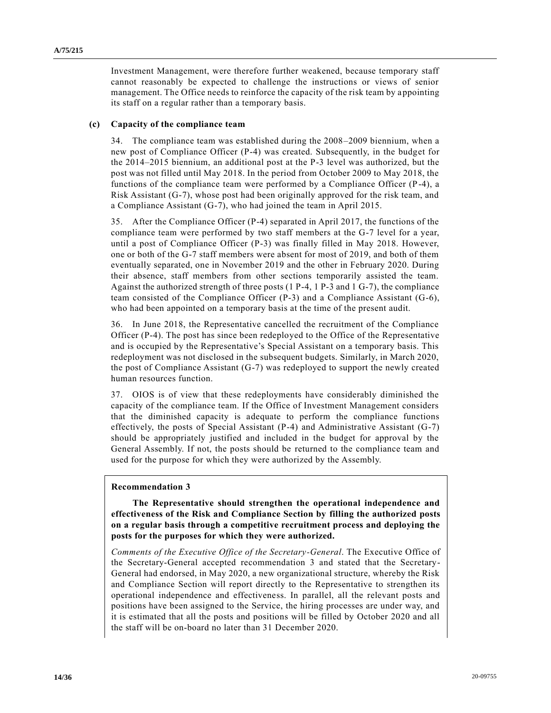Investment Management, were therefore further weakened, because temporary staff cannot reasonably be expected to challenge the instructions or views of senior management. The Office needs to reinforce the capacity of the risk team by appointing its staff on a regular rather than a temporary basis.

#### **(c) Capacity of the compliance team**

34. The compliance team was established during the 2008–2009 biennium, when a new post of Compliance Officer (P-4) was created. Subsequently, in the budget for the 2014–2015 biennium, an additional post at the P-3 level was authorized, but the post was not filled until May 2018. In the period from October 2009 to May 2018, the functions of the compliance team were performed by a Compliance Officer (P-4), a Risk Assistant (G-7), whose post had been originally approved for the risk team, and a Compliance Assistant (G-7), who had joined the team in April 2015.

35. After the Compliance Officer (P-4) separated in April 2017, the functions of the compliance team were performed by two staff members at the G-7 level for a year, until a post of Compliance Officer (P-3) was finally filled in May 2018. However, one or both of the G-7 staff members were absent for most of 2019, and both of them eventually separated, one in November 2019 and the other in February 2020. During their absence, staff members from other sections temporarily assisted the team. Against the authorized strength of three posts (1 P-4, 1 P-3 and 1 G-7), the compliance team consisted of the Compliance Officer (P-3) and a Compliance Assistant (G-6), who had been appointed on a temporary basis at the time of the present audit.

36. In June 2018, the Representative cancelled the recruitment of the Compliance Officer (P-4). The post has since been redeployed to the Office of the Representative and is occupied by the Representative's Special Assistant on a temporary basis. This redeployment was not disclosed in the subsequent budgets. Similarly, in March 2020, the post of Compliance Assistant (G-7) was redeployed to support the newly created human resources function.

37. OIOS is of view that these redeployments have considerably diminished the capacity of the compliance team. If the Office of Investment Management considers that the diminished capacity is adequate to perform the compliance functions effectively, the posts of Special Assistant (P-4) and Administrative Assistant (G-7) should be appropriately justified and included in the budget for approval by the General Assembly. If not, the posts should be returned to the compliance team and used for the purpose for which they were authorized by the Assembly.

#### **Recommendation 3**

**The Representative should strengthen the operational independence and effectiveness of the Risk and Compliance Section by filling the authorized posts on a regular basis through a competitive recruitment process and deploying the posts for the purposes for which they were authorized.**

*Comments of the Executive Office of the Secretary-General*. The Executive Office of the Secretary-General accepted recommendation 3 and stated that the Secretary-General had endorsed, in May 2020, a new organizational structure, whereby the Risk and Compliance Section will report directly to the Representative to strengthen its operational independence and effectiveness. In parallel, all the relevant posts and positions have been assigned to the Service, the hiring processes are under way, and it is estimated that all the posts and positions will be filled by October 2020 and all the staff will be on-board no later than 31 December 2020.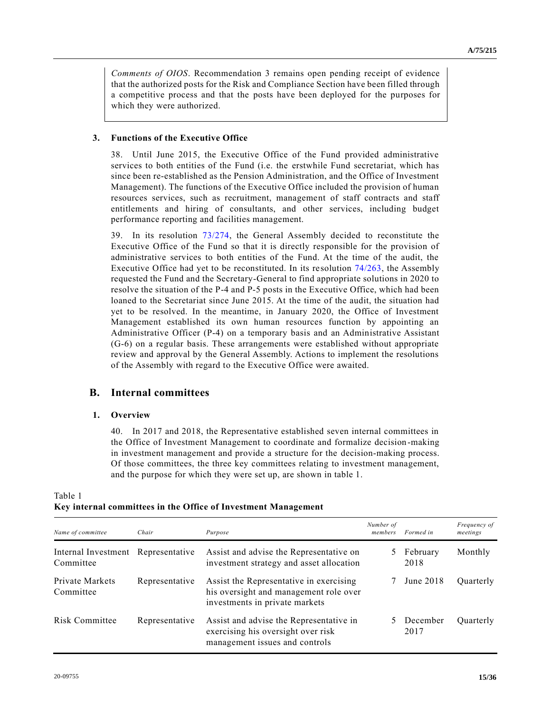*Comments of OIOS*. Recommendation 3 remains open pending receipt of evidence that the authorized posts for the Risk and Compliance Section have been filled through a competitive process and that the posts have been deployed for the purposes for which they were authorized.

### **3. Functions of the Executive Office**

38. Until June 2015, the Executive Office of the Fund provided administrative services to both entities of the Fund (i.e. the erstwhile Fund secretariat, which has since been re-established as the Pension Administration, and the Office of Investment Management). The functions of the Executive Office included the provision of human resources services, such as recruitment, management of staff contracts and staff entitlements and hiring of consultants, and other services, including budget performance reporting and facilities management.

39. In its resolution [73/274,](https://undocs.org/en/A/RES/73/274) the General Assembly decided to reconstitute the Executive Office of the Fund so that it is directly responsible for the provision of administrative services to both entities of the Fund. At the time of the audit, the Executive Office had yet to be reconstituted. In its resolution [74/263,](https://undocs.org/en/A/RES/74/263) the Assembly requested the Fund and the Secretary-General to find appropriate solutions in 2020 to resolve the situation of the P-4 and P-5 posts in the Executive Office, which had been loaned to the Secretariat since June 2015. At the time of the audit, the situation had yet to be resolved. In the meantime, in January 2020, the Office of Investment Management established its own human resources function by appointing an Administrative Officer (P-4) on a temporary basis and an Administrative Assistant (G-6) on a regular basis. These arrangements were established without appropriate review and approval by the General Assembly. Actions to implement the resolutions of the Assembly with regard to the Executive Office were awaited.

## **B. Internal committees**

#### **1. Overview**

40. In 2017 and 2018, the Representative established seven internal committees in the Office of Investment Management to coordinate and formalize decision -making in investment management and provide a structure for the decision-making process. Of those committees, the three key committees relating to investment management, and the purpose for which they were set up, are shown in table 1.

|                                                 |                |                                                                                                                     | Number of |                    | Frequency of |
|-------------------------------------------------|----------------|---------------------------------------------------------------------------------------------------------------------|-----------|--------------------|--------------|
| Name of committee                               | Chair          | Purpose                                                                                                             | members   | Formed in          | meetings     |
| Internal Investment Representative<br>Committee |                | Assist and advise the Representative on<br>investment strategy and asset allocation                                 |           | 5 February<br>2018 | Monthly      |
| Private Markets<br>Committee                    | Representative | Assist the Representative in exercising<br>his oversight and management role over<br>investments in private markets |           | June 2018          | Ouarterly    |
| <b>Risk Committee</b>                           | Representative | Assist and advise the Representative in<br>exercising his oversight over risk<br>management issues and controls     |           | 5 December<br>2017 | Quarterly    |

Table 1 **Key internal committees in the Office of Investment Management**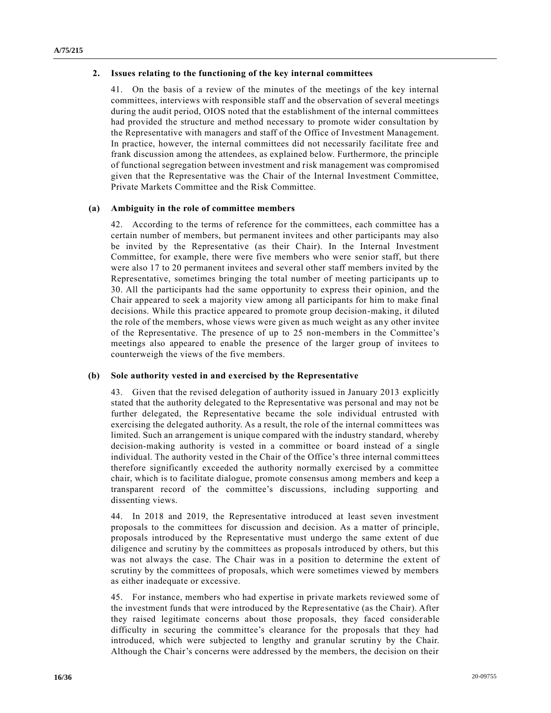#### **2. Issues relating to the functioning of the key internal committees**

41. On the basis of a review of the minutes of the meetings of the key internal committees, interviews with responsible staff and the observation of several meetings during the audit period, OIOS noted that the establishment of the internal committees had provided the structure and method necessary to promote wider consultation by the Representative with managers and staff of the Office of Investment Management. In practice, however, the internal committees did not necessarily facilitate free and frank discussion among the attendees, as explained below. Furthermore, the principle of functional segregation between investment and risk management was compromised given that the Representative was the Chair of the Internal Investment Committee, Private Markets Committee and the Risk Committee.

#### **(a) Ambiguity in the role of committee members**

42. According to the terms of reference for the committees, each committee has a certain number of members, but permanent invitees and other participants may also be invited by the Representative (as their Chair). In the Internal Investment Committee, for example, there were five members who were senior staff, but there were also 17 to 20 permanent invitees and several other staff members invited by the Representative, sometimes bringing the total number of meeting participants up to 30. All the participants had the same opportunity to express their opinion, and the Chair appeared to seek a majority view among all participants for him to make final decisions. While this practice appeared to promote group decision-making, it diluted the role of the members, whose views were given as much weight as any other invitee of the Representative. The presence of up to 25 non-members in the Committee's meetings also appeared to enable the presence of the larger group of invitees to counterweigh the views of the five members.

### **(b) Sole authority vested in and exercised by the Representative**

43. Given that the revised delegation of authority issued in January 2013 explicitly stated that the authority delegated to the Representative was personal and may not be further delegated, the Representative became the sole individual entrusted with exercising the delegated authority. As a result, the role of the internal committees was limited. Such an arrangement is unique compared with the industry standard, whereby decision-making authority is vested in a committee or board instead of a single individual. The authority vested in the Chair of the Office's three internal committees therefore significantly exceeded the authority normally exercised by a committee chair, which is to facilitate dialogue, promote consensus among members and keep a transparent record of the committee's discussions, including supporting and dissenting views.

44. In 2018 and 2019, the Representative introduced at least seven investment proposals to the committees for discussion and decision. As a matter of principle, proposals introduced by the Representative must undergo the same extent of due diligence and scrutiny by the committees as proposals introduced by others, but this was not always the case. The Chair was in a position to determine the extent of scrutiny by the committees of proposals, which were sometimes viewed by members as either inadequate or excessive.

45. For instance, members who had expertise in private markets reviewed some of the investment funds that were introduced by the Representative (as the Chair). After they raised legitimate concerns about those proposals, they faced consider able difficulty in securing the committee's clearance for the proposals that they had introduced, which were subjected to lengthy and granular scrutiny by the Chair. Although the Chair's concerns were addressed by the members, the decision on their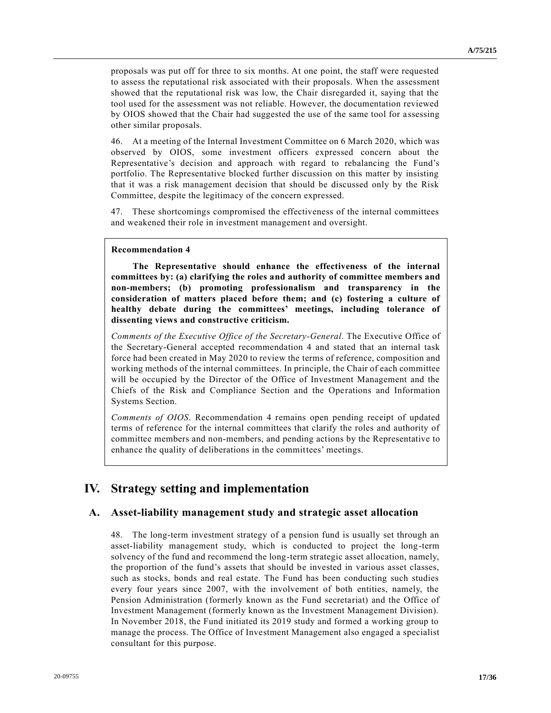proposals was put off for three to six months. At one point, the staff were requested to assess the reputational risk associated with their proposals. When the assessment showed that the reputational risk was low, the Chair disregarded it, saying that the tool used for the assessment was not reliable. However, the documentation reviewed by OIOS showed that the Chair had suggested the use of the same tool for a ssessing other similar proposals.

46. At a meeting of the Internal Investment Committee on 6 March 2020, which was observed by OIOS, some investment officers expressed concern about the Representative's decision and approach with regard to rebalancing the Fund's portfolio. The Representative blocked further discussion on this matter by insisting that it was a risk management decision that should be discussed only by the Risk Committee, despite the legitimacy of the concern expressed.

47. These shortcomings compromised the effectiveness of the internal committees and weakened their role in investment management and oversight.

#### **Recommendation 4**

**The Representative should enhance the effectiveness of the internal committees by: (a) clarifying the roles and authority of committee members and non-members; (b) promoting professionalism and transparency in the consideration of matters placed before them; and (c) fostering a culture of healthy debate during the committees' meetings, including tolerance of dissenting views and constructive criticism.**

*Comments of the Executive Office of the Secretary-General*. The Executive Office of the Secretary-General accepted recommendation 4 and stated that an internal task force had been created in May 2020 to review the terms of reference, composition and working methods of the internal committees. In principle, the Chair of each committee will be occupied by the Director of the Office of Investment Management and the Chiefs of the Risk and Compliance Section and the Operations and Information Systems Section.

*Comments of OIOS*. Recommendation 4 remains open pending receipt of updated terms of reference for the internal committees that clarify the roles and authority of committee members and non-members, and pending actions by the Representative to enhance the quality of deliberations in the committees' meetings.

## **IV. Strategy setting and implementation**

## **A. Asset-liability management study and strategic asset allocation**

48. The long-term investment strategy of a pension fund is usually set through an asset-liability management study, which is conducted to project the long-term solvency of the fund and recommend the long-term strategic asset allocation, namely, the proportion of the fund's assets that should be invested in various asset classes, such as stocks, bonds and real estate. The Fund has been conducting such studies every four years since 2007, with the involvement of both entities, namely, the Pension Administration (formerly known as the Fund secretariat) and the Office of Investment Management (formerly known as the Investment Management Division). In November 2018, the Fund initiated its 2019 study and formed a working group to manage the process. The Office of Investment Management also engaged a specialist consultant for this purpose.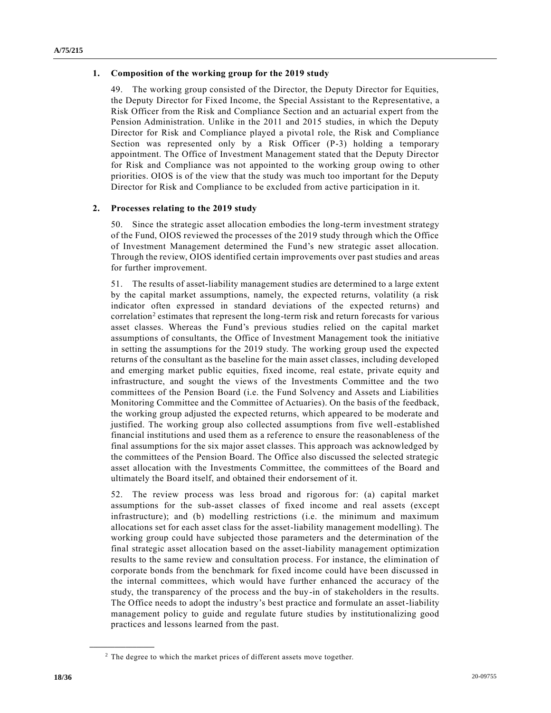#### **1. Composition of the working group for the 2019 study**

49. The working group consisted of the Director, the Deputy Director for Equities, the Deputy Director for Fixed Income, the Special Assistant to the Representative, a Risk Officer from the Risk and Compliance Section and an actuarial expert from the Pension Administration. Unlike in the 2011 and 2015 studies, in which the Deputy Director for Risk and Compliance played a pivotal role, the Risk and Compliance Section was represented only by a Risk Officer (P-3) holding a temporary appointment. The Office of Investment Management stated that the Deputy Director for Risk and Compliance was not appointed to the working group owing to other priorities. OIOS is of the view that the study was much too important for the Deputy Director for Risk and Compliance to be excluded from active participation in it.

#### **2. Processes relating to the 2019 study**

50. Since the strategic asset allocation embodies the long-term investment strategy of the Fund, OIOS reviewed the processes of the 2019 study through which the Office of Investment Management determined the Fund's new strategic asset allocation. Through the review, OIOS identified certain improvements over past studies and areas for further improvement.

51. The results of asset-liability management studies are determined to a large extent by the capital market assumptions, namely, the expected returns, volatility (a risk indicator often expressed in standard deviations of the expected returns) and correlation<sup>2</sup> estimates that represent the long-term risk and return forecasts for various asset classes. Whereas the Fund's previous studies relied on the capital market assumptions of consultants, the Office of Investment Management took the initiative in setting the assumptions for the 2019 study. The working group used the expected returns of the consultant as the baseline for the main asset classes, including developed and emerging market public equities, fixed income, real estate, private equity and infrastructure, and sought the views of the Investments Committee and the two committees of the Pension Board (i.e. the Fund Solvency and Assets and Liabilities Monitoring Committee and the Committee of Actuaries). On the basis of the feedback, the working group adjusted the expected returns, which appeared to be moderate and justified. The working group also collected assumptions from five well-established financial institutions and used them as a reference to ensure the reasonableness of the final assumptions for the six major asset classes. This approach was acknowledged by the committees of the Pension Board. The Office also discussed the selected strategic asset allocation with the Investments Committee, the committees of the Board and ultimately the Board itself, and obtained their endorsement of it.

52. The review process was less broad and rigorous for: (a) capital market assumptions for the sub-asset classes of fixed income and real assets (except infrastructure); and (b) modelling restrictions (i.e. the minimum and maximum allocations set for each asset class for the asset-liability management modelling). The working group could have subjected those parameters and the determination of the final strategic asset allocation based on the asset-liability management optimization results to the same review and consultation process. For instance, the elimination of corporate bonds from the benchmark for fixed income could have been discussed in the internal committees, which would have further enhanced the accuracy of the study, the transparency of the process and the buy-in of stakeholders in the results. The Office needs to adopt the industry's best practice and formulate an asset-liability management policy to guide and regulate future studies by institutionalizing good practices and lessons learned from the past.

**\_\_\_\_\_\_\_\_\_\_\_\_\_\_\_\_\_\_**

<sup>&</sup>lt;sup>2</sup> The degree to which the market prices of different assets move together.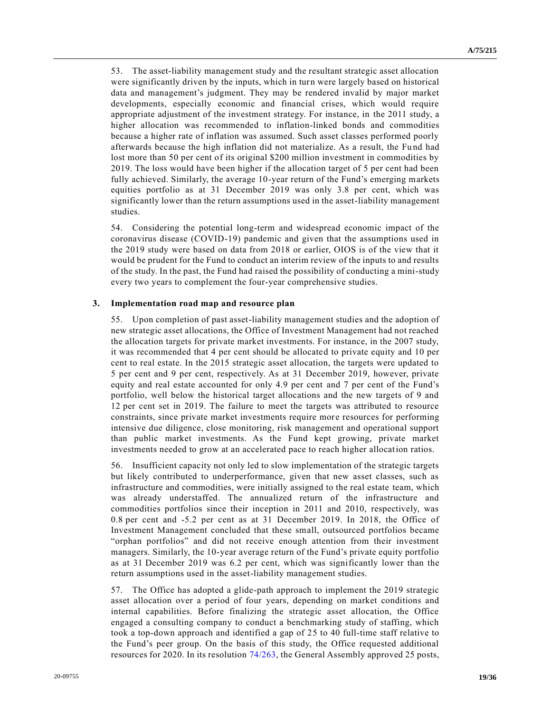53. The asset-liability management study and the resultant strategic asset allocation were significantly driven by the inputs, which in turn were largely based on historical data and management's judgment. They may be rendered invalid by major market developments, especially economic and financial crises, which would require appropriate adjustment of the investment strategy. For instance, in the 2011 study, a higher allocation was recommended to inflation-linked bonds and commodities because a higher rate of inflation was assumed. Such asset classes performed poorly afterwards because the high inflation did not materialize. As a result, the Fund had lost more than 50 per cent of its original \$200 million investment in commodities by 2019. The loss would have been higher if the allocation target of 5 per cent had been fully achieved. Similarly, the average 10-year return of the Fund's emerging markets equities portfolio as at 31 December 2019 was only 3.8 per cent, which was significantly lower than the return assumptions used in the asset-liability management studies.

54. Considering the potential long-term and widespread economic impact of the coronavirus disease (COVID-19) pandemic and given that the assumptions used in the 2019 study were based on data from 2018 or earlier, OIOS is of the view that it would be prudent for the Fund to conduct an interim review of the inputs to and results of the study. In the past, the Fund had raised the possibility of conducting a mini-study every two years to complement the four-year comprehensive studies.

#### **3. Implementation road map and resource plan**

55. Upon completion of past asset-liability management studies and the adoption of new strategic asset allocations, the Office of Investment Management had not reached the allocation targets for private market investments. For instance, in the 2007 study, it was recommended that 4 per cent should be allocated to private equity and 10 per cent to real estate. In the 2015 strategic asset allocation, the targets were updated to 5 per cent and 9 per cent, respectively. As at 31 December 2019, however, private equity and real estate accounted for only 4.9 per cent and 7 per cent of the Fund's portfolio, well below the historical target allocations and the new targets of 9 and 12 per cent set in 2019. The failure to meet the targets was attributed to resource constraints, since private market investments require more resources for performing intensive due diligence, close monitoring, risk management and operational support than public market investments. As the Fund kept growing, private market investments needed to grow at an accelerated pace to reach higher allocation ratios.

56. Insufficient capacity not only led to slow implementation of the strategic targets but likely contributed to underperformance, given that new asset classes, such as infrastructure and commodities, were initially assigned to the real estate team, which was already understaffed. The annualized return of the infrastructure and commodities portfolios since their inception in 2011 and 2010, respectively, was 0.8 per cent and -5.2 per cent as at 31 December 2019. In 2018, the Office of Investment Management concluded that these small, outsourced portfolios became "orphan portfolios" and did not receive enough attention from their investment managers. Similarly, the 10-year average return of the Fund's private equity portfolio as at 31 December 2019 was 6.2 per cent, which was significantly lower than the return assumptions used in the asset-liability management studies.

57. The Office has adopted a glide-path approach to implement the 2019 strategic asset allocation over a period of four years, depending on market conditions and internal capabilities. Before finalizing the strategic asset allocation, the Office engaged a consulting company to conduct a benchmarking study of staffing, which took a top-down approach and identified a gap of 25 to 40 full-time staff relative to the Fund's peer group. On the basis of this study, the Office requested additional resources for 2020. In its resolution [74/263,](https://undocs.org/en/A/RES/74/263) the General Assembly approved 25 posts,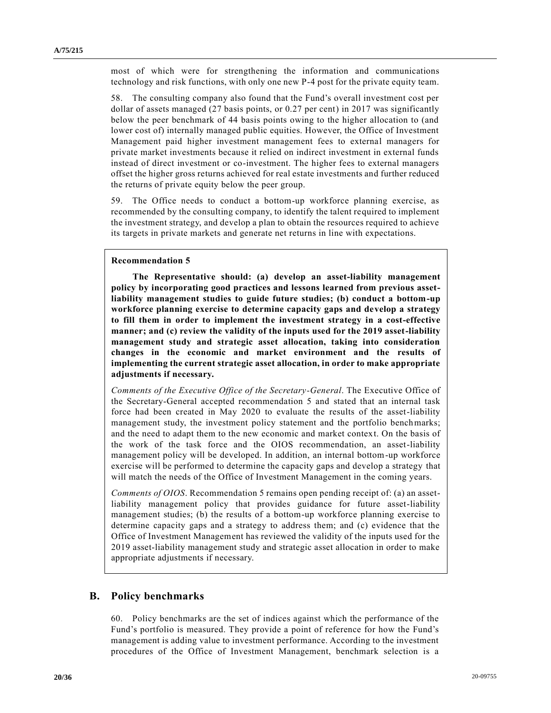most of which were for strengthening the information and communications technology and risk functions, with only one new P-4 post for the private equity team.

58. The consulting company also found that the Fund's overall investment cost per dollar of assets managed (27 basis points, or 0.27 per cent) in 2017 was significantly below the peer benchmark of 44 basis points owing to the higher allocation to (and lower cost of) internally managed public equities. However, the Office of Investment Management paid higher investment management fees to external managers for private market investments because it relied on indirect investment in external funds instead of direct investment or co-investment. The higher fees to external managers offset the higher gross returns achieved for real estate investments and further reduced the returns of private equity below the peer group.

59. The Office needs to conduct a bottom-up workforce planning exercise, as recommended by the consulting company, to identify the talent required to implement the investment strategy, and develop a plan to obtain the resources required to achieve its targets in private markets and generate net returns in line with expectations.

#### **Recommendation 5**

**The Representative should: (a) develop an asset-liability management policy by incorporating good practices and lessons learned from previous assetliability management studies to guide future studies; (b) conduct a bottom-up workforce planning exercise to determine capacity gaps and develop a strategy to fill them in order to implement the investment strategy in a cost-effective manner; and (c) review the validity of the inputs used for the 2019 asset-liability management study and strategic asset allocation, taking into consideration changes in the economic and market environment and the results of implementing the current strategic asset allocation, in order to make appropriate adjustments if necessary.**

*Comments of the Executive Office of the Secretary-General*. The Executive Office of the Secretary-General accepted recommendation 5 and stated that an internal task force had been created in May 2020 to evaluate the results of the asset-liability management study, the investment policy statement and the portfolio benchmarks; and the need to adapt them to the new economic and market context. On the basis of the work of the task force and the OIOS recommendation, an asset-liability management policy will be developed. In addition, an internal bottom-up workforce exercise will be performed to determine the capacity gaps and develop a strategy that will match the needs of the Office of Investment Management in the coming years.

*Comments of OIOS*. Recommendation 5 remains open pending receipt of: (a) an assetliability management policy that provides guidance for future asset-liability management studies; (b) the results of a bottom-up workforce planning exercise to determine capacity gaps and a strategy to address them; and (c) evidence that the Office of Investment Management has reviewed the validity of the inputs used for the 2019 asset-liability management study and strategic asset allocation in order to make appropriate adjustments if necessary.

### **B. Policy benchmarks**

60. Policy benchmarks are the set of indices against which the performance of the Fund's portfolio is measured. They provide a point of reference for how the Fund's management is adding value to investment performance. According to the investment procedures of the Office of Investment Management, benchmark selection is a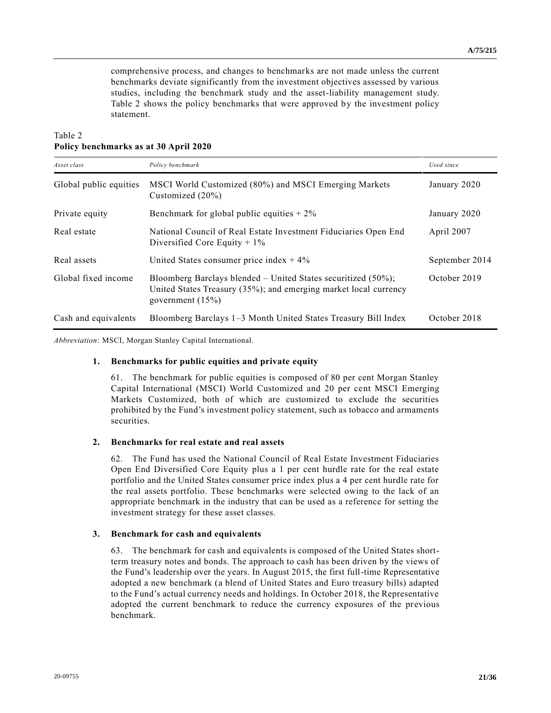comprehensive process, and changes to benchmarks are not made unless the current benchmarks deviate significantly from the investment objectives assessed by various studies, including the benchmark study and the asset-liability management study. Table 2 shows the policy benchmarks that were approved by the investment policy statement.

## Table 2 **Policy benchmarks as at 30 April 2020**

| Asset class            | Policy benchmark                                                                                                                                            | Used since     |
|------------------------|-------------------------------------------------------------------------------------------------------------------------------------------------------------|----------------|
| Global public equities | MSCI World Customized (80%) and MSCI Emerging Markets<br>Customized $(20\%)$                                                                                | January 2020   |
| Private equity         | Benchmark for global public equities $+2\%$                                                                                                                 | January 2020   |
| Real estate            | National Council of Real Estate Investment Fiduciaries Open End<br>Diversified Core Equity $+1\%$                                                           | April 2007     |
| Real assets            | United States consumer price index $+4\%$                                                                                                                   | September 2014 |
| Global fixed income    | Bloomberg Barclays blended – United States securitized $(50\%)$ ;<br>United States Treasury (35%); and emerging market local currency<br>government $(15%)$ | October 2019   |
| Cash and equivalents   | Bloomberg Barclays 1–3 Month United States Treasury Bill Index                                                                                              | October 2018   |

*Abbreviation*: MSCI, Morgan Stanley Capital International.

#### **1. Benchmarks for public equities and private equity**

61. The benchmark for public equities is composed of 80 per cent Morgan Stanley Capital International (MSCI) World Customized and 20 per cent MSCI Emerging Markets Customized, both of which are customized to exclude the securities prohibited by the Fund's investment policy statement, such as tobacco and armaments securities.

#### **2. Benchmarks for real estate and real assets**

62. The Fund has used the National Council of Real Estate Investment Fiduciaries Open End Diversified Core Equity plus a 1 per cent hurdle rate for the real estate portfolio and the United States consumer price index plus a 4 per cent hurdle rate for the real assets portfolio. These benchmarks were selected owing to the lack of an appropriate benchmark in the industry that can be used as a reference for setting the investment strategy for these asset classes.

#### **3. Benchmark for cash and equivalents**

63. The benchmark for cash and equivalents is composed of the United States shortterm treasury notes and bonds. The approach to cash has been driven by the views of the Fund's leadership over the years. In August 2015, the first full-time Representative adopted a new benchmark (a blend of United States and Euro treasury bills) adapted to the Fund's actual currency needs and holdings. In October 2018, the Representative adopted the current benchmark to reduce the currency exposures of the previous benchmark.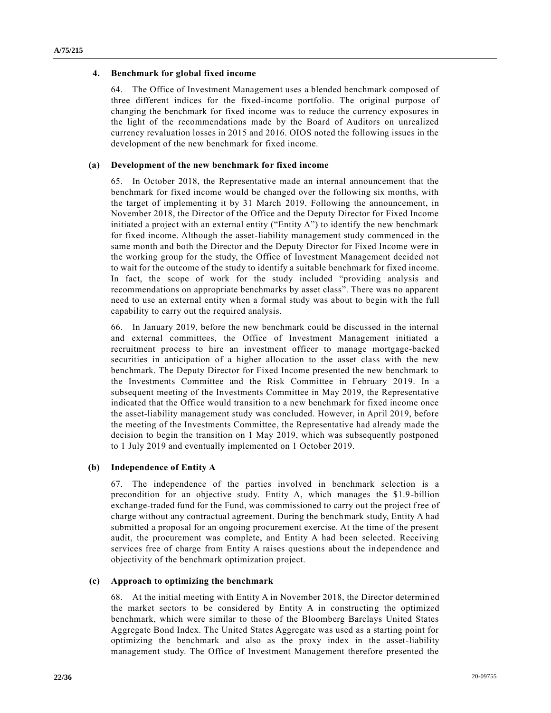#### **4. Benchmark for global fixed income**

64. The Office of Investment Management uses a blended benchmark composed of three different indices for the fixed-income portfolio. The original purpose of changing the benchmark for fixed income was to reduce the currency exposures in the light of the recommendations made by the Board of Auditors on unrealized currency revaluation losses in 2015 and 2016. OIOS noted the following issues in the development of the new benchmark for fixed income.

#### **(a) Development of the new benchmark for fixed income**

65. In October 2018, the Representative made an internal announcement that the benchmark for fixed income would be changed over the following six months, with the target of implementing it by 31 March 2019. Following the announcement, in November 2018, the Director of the Office and the Deputy Director for Fixed Income initiated a project with an external entity ("Entity A") to identify the new benchmark for fixed income. Although the asset-liability management study commenced in the same month and both the Director and the Deputy Director for Fixed Income were in the working group for the study, the Office of Investment Management decided not to wait for the outcome of the study to identify a suitable benchmark for fixed income. In fact, the scope of work for the study included "providing analysis and recommendations on appropriate benchmarks by asset class". There was no apparent need to use an external entity when a formal study was about to begin with the full capability to carry out the required analysis.

66. In January 2019, before the new benchmark could be discussed in the internal and external committees, the Office of Investment Management initiated a recruitment process to hire an investment officer to manage mortgage-backed securities in anticipation of a higher allocation to the asset class with the new benchmark. The Deputy Director for Fixed Income presented the new benchmark to the Investments Committee and the Risk Committee in February 2019. In a subsequent meeting of the Investments Committee in May 2019, the Representative indicated that the Office would transition to a new benchmark for fixed income once the asset-liability management study was concluded. However, in April 2019, before the meeting of the Investments Committee, the Representative had already made the decision to begin the transition on 1 May 2019, which was subsequently postponed to 1 July 2019 and eventually implemented on 1 October 2019.

#### **(b) Independence of Entity A**

67. The independence of the parties involved in benchmark selection is a precondition for an objective study. Entity A, which manages the \$1.9-billion exchange-traded fund for the Fund, was commissioned to carry out the project free of charge without any contractual agreement. During the benchmark study, Entity A had submitted a proposal for an ongoing procurement exercise. At the time of the present audit, the procurement was complete, and Entity A had been selected. Receiving services free of charge from Entity A raises questions about the independence and objectivity of the benchmark optimization project.

#### **(c) Approach to optimizing the benchmark**

68. At the initial meeting with Entity A in November 2018, the Director determin ed the market sectors to be considered by Entity A in constructing the optimized benchmark, which were similar to those of the Bloomberg Barclays United States Aggregate Bond Index. The United States Aggregate was used as a starting point for optimizing the benchmark and also as the proxy index in the asset-liability management study. The Office of Investment Management therefore presented the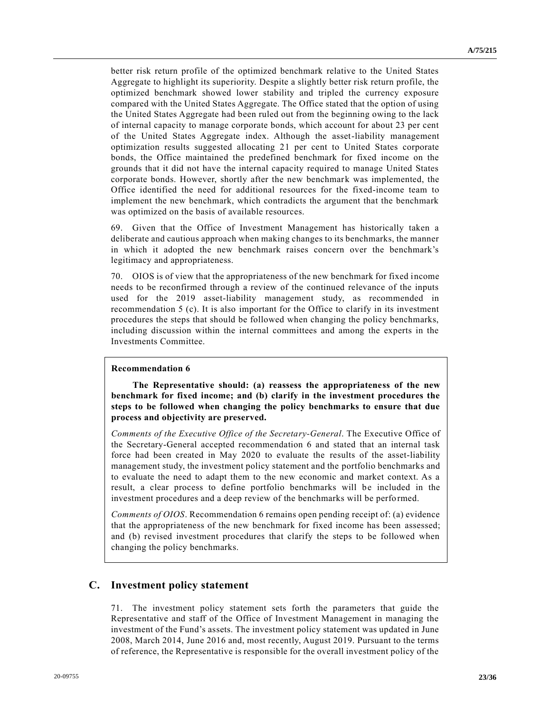better risk return profile of the optimized benchmark relative to the United States Aggregate to highlight its superiority. Despite a slightly better risk return profile, the optimized benchmark showed lower stability and tripled the currency exposure compared with the United States Aggregate. The Office stated that the option of using the United States Aggregate had been ruled out from the beginning owing to the lack of internal capacity to manage corporate bonds, which account for about 23 per cent of the United States Aggregate index. Although the asset-liability management optimization results suggested allocating 21 per cent to United States corporate bonds, the Office maintained the predefined benchmark for fixed income on the grounds that it did not have the internal capacity required to manage United States corporate bonds. However, shortly after the new benchmark was implemented, the Office identified the need for additional resources for the fixed-income team to implement the new benchmark, which contradicts the argument that the benchmark was optimized on the basis of available resources.

69. Given that the Office of Investment Management has historically taken a deliberate and cautious approach when making changes to its benchmarks, the manner in which it adopted the new benchmark raises concern over the benchmark's legitimacy and appropriateness.

70. OIOS is of view that the appropriateness of the new benchmark for fixed income needs to be reconfirmed through a review of the continued relevance of the inputs used for the 2019 asset-liability management study, as recommended in recommendation 5 (c). It is also important for the Office to clarify in its investment procedures the steps that should be followed when changing the policy benchmarks, including discussion within the internal committees and among the experts in the Investments Committee.

#### **Recommendation 6**

**The Representative should: (a) reassess the appropriateness of the new benchmark for fixed income; and (b) clarify in the investment procedures the steps to be followed when changing the policy benchmarks to ensure that due process and objectivity are preserved.**

*Comments of the Executive Office of the Secretary-General*. The Executive Office of the Secretary-General accepted recommendation 6 and stated that an internal task force had been created in May 2020 to evaluate the results of the asset-liability management study, the investment policy statement and the portfolio benchmarks and to evaluate the need to adapt them to the new economic and market context. As a result, a clear process to define portfolio benchmarks will be included in the investment procedures and a deep review of the benchmarks will be performed.

*Comments of OIOS*. Recommendation 6 remains open pending receipt of: (a) evidence that the appropriateness of the new benchmark for fixed income has been assessed; and (b) revised investment procedures that clarify the steps to be followed when changing the policy benchmarks.

### **C. Investment policy statement**

71. The investment policy statement sets forth the parameters that guide the Representative and staff of the Office of Investment Management in managing the investment of the Fund's assets. The investment policy statement was updated in June 2008, March 2014, June 2016 and, most recently, August 2019. Pursuant to the terms of reference, the Representative is responsible for the overall investment policy of the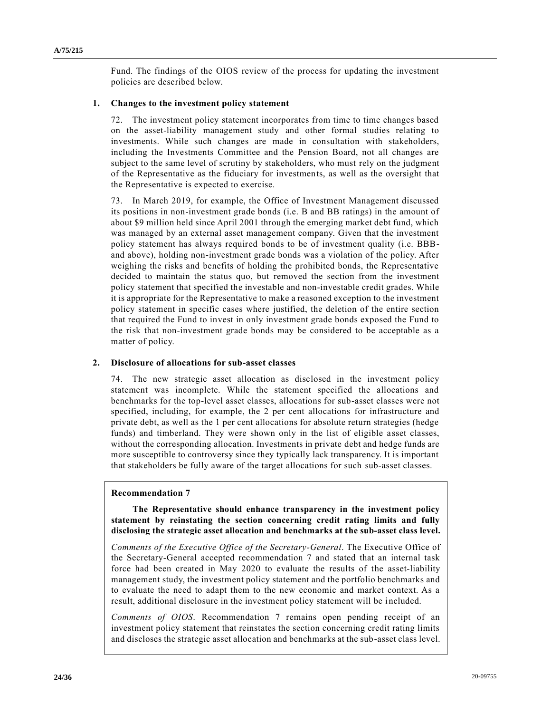Fund. The findings of the OIOS review of the process for updating the investment policies are described below.

#### **1. Changes to the investment policy statement**

72. The investment policy statement incorporates from time to time changes based on the asset-liability management study and other formal studies relating to investments. While such changes are made in consultation with stakeholders, including the Investments Committee and the Pension Board, not all changes are subject to the same level of scrutiny by stakeholders, who must rely on the judgment of the Representative as the fiduciary for investments, as well as the oversight that the Representative is expected to exercise.

73. In March 2019, for example, the Office of Investment Management discussed its positions in non-investment grade bonds (i.e. B and BB ratings) in the amount of about \$9 million held since April 2001 through the emerging market debt fund, which was managed by an external asset management company. Given that the investment policy statement has always required bonds to be of investment quality (i.e. BBBand above), holding non-investment grade bonds was a violation of the policy. After weighing the risks and benefits of holding the prohibited bonds, the Representative decided to maintain the status quo, but removed the section from the investment policy statement that specified the investable and non-investable credit grades. While it is appropriate for the Representative to make a reasoned exception to the investment policy statement in specific cases where justified, the deletion of the entire section that required the Fund to invest in only investment grade bonds exposed the Fund to the risk that non-investment grade bonds may be considered to be acceptable as a matter of policy.

#### **2. Disclosure of allocations for sub-asset classes**

74. The new strategic asset allocation as disclosed in the investment policy statement was incomplete. While the statement specified the allocations and benchmarks for the top-level asset classes, allocations for sub-asset classes were not specified, including, for example, the 2 per cent allocations for infrastructure and private debt, as well as the 1 per cent allocations for absolute return strategies (hedge funds) and timberland. They were shown only in the list of eligible asset classes, without the corresponding allocation. Investments in private debt and hedge funds are more susceptible to controversy since they typically lack transparency. It is important that stakeholders be fully aware of the target allocations for such sub-asset classes.

#### **Recommendation 7**

**The Representative should enhance transparency in the investment policy statement by reinstating the section concerning credit rating limits and fully disclosing the strategic asset allocation and benchmarks at the sub-asset class level.**

*Comments of the Executive Office of the Secretary-General*. The Executive Office of the Secretary-General accepted recommendation 7 and stated that an internal task force had been created in May 2020 to evaluate the results of the asset-liability management study, the investment policy statement and the portfolio benchmarks and to evaluate the need to adapt them to the new economic and market context. As a result, additional disclosure in the investment policy statement will be included.

*Comments of OIOS*. Recommendation 7 remains open pending receipt of an investment policy statement that reinstates the section concerning credit rating limits and discloses the strategic asset allocation and benchmarks at the sub-asset class level.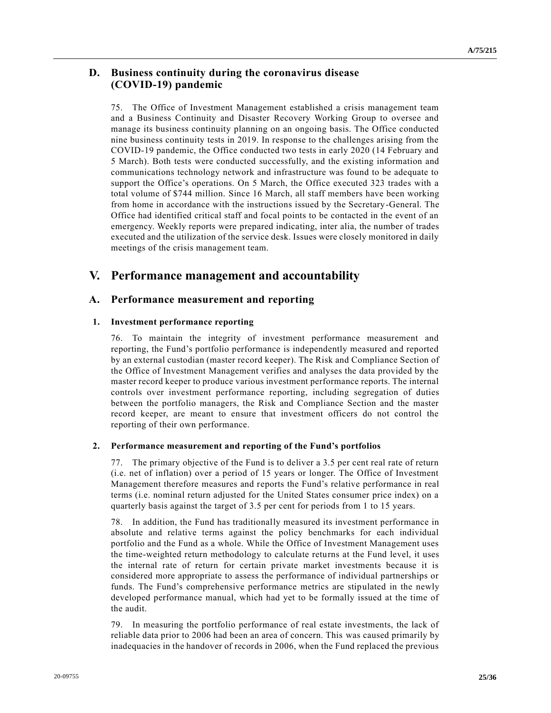## **D. Business continuity during the coronavirus disease (COVID-19) pandemic**

75. The Office of Investment Management established a crisis management team and a Business Continuity and Disaster Recovery Working Group to oversee and manage its business continuity planning on an ongoing basis. The Office conducted nine business continuity tests in 2019. In response to the challenges arising from the COVID-19 pandemic, the Office conducted two tests in early 2020 (14 February and 5 March). Both tests were conducted successfully, and the existing information and communications technology network and infrastructure was found to be adequate to support the Office's operations. On 5 March, the Office executed 323 trades with a total volume of \$744 million. Since 16 March, all staff members have been working from home in accordance with the instructions issued by the Secretary-General. The Office had identified critical staff and focal points to be contacted in the event of an emergency. Weekly reports were prepared indicating, inter alia, the number of trades executed and the utilization of the service desk. Issues were closely monitored in daily meetings of the crisis management team.

## **V. Performance management and accountability**

## **A. Performance measurement and reporting**

#### **1. Investment performance reporting**

76. To maintain the integrity of investment performance measurement and reporting, the Fund's portfolio performance is independently measured and reported by an external custodian (master record keeper). The Risk and Compliance Section of the Office of Investment Management verifies and analyses the data provided by the master record keeper to produce various investment performance reports. The internal controls over investment performance reporting, including segregation of duties between the portfolio managers, the Risk and Compliance Section and the master record keeper, are meant to ensure that investment officers do not control the reporting of their own performance.

#### **2. Performance measurement and reporting of the Fund's portfolios**

77. The primary objective of the Fund is to deliver a 3.5 per cent real rate of return (i.e. net of inflation) over a period of 15 years or longer. The Office of Investment Management therefore measures and reports the Fund's relative performance in real terms (i.e. nominal return adjusted for the United States consumer price index) on a quarterly basis against the target of 3.5 per cent for periods from 1 to 15 years.

78. In addition, the Fund has traditionally measured its investment performance in absolute and relative terms against the policy benchmarks for each individual portfolio and the Fund as a whole. While the Office of Investment Management uses the time-weighted return methodology to calculate returns at the Fund level, it uses the internal rate of return for certain private market investments because it is considered more appropriate to assess the performance of individual partnerships or funds. The Fund's comprehensive performance metrics are stipulated in the newly developed performance manual, which had yet to be formally issued at the time of the audit.

79. In measuring the portfolio performance of real estate investments, the lack of reliable data prior to 2006 had been an area of concern. This was caused primarily by inadequacies in the handover of records in 2006, when the Fund replaced the previous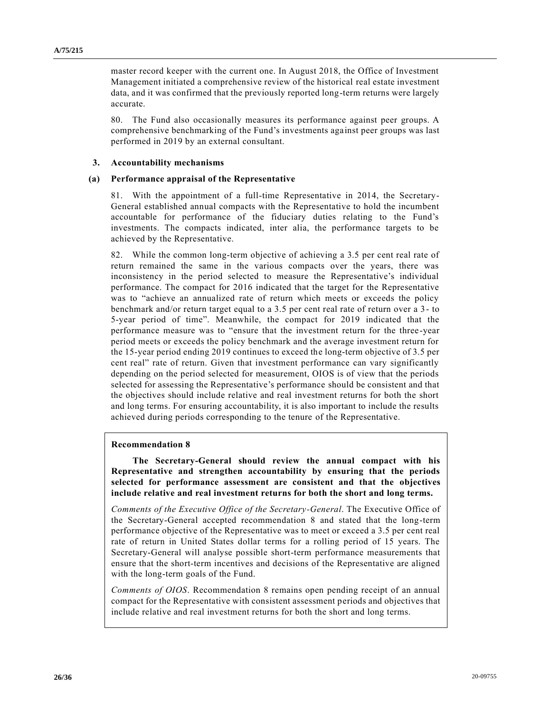master record keeper with the current one. In August 2018, the Office of Investment Management initiated a comprehensive review of the historical real estate investment data, and it was confirmed that the previously reported long-term returns were largely accurate.

80. The Fund also occasionally measures its performance against peer groups. A comprehensive benchmarking of the Fund's investments against peer groups was last performed in 2019 by an external consultant.

#### **3. Accountability mechanisms**

#### **(a) Performance appraisal of the Representative**

81. With the appointment of a full-time Representative in 2014, the Secretary-General established annual compacts with the Representative to hold the incumbent accountable for performance of the fiduciary duties relating to the Fund's investments. The compacts indicated, inter alia, the performance targets to be achieved by the Representative.

82. While the common long-term objective of achieving a 3.5 per cent real rate of return remained the same in the various compacts over the years, there was inconsistency in the period selected to measure the Representative's individual performance. The compact for 2016 indicated that the target for the Representative was to "achieve an annualized rate of return which meets or exceeds the policy benchmark and/or return target equal to a 3.5 per cent real rate of return over a 3 - to 5-year period of time". Meanwhile, the compact for 2019 indicated that the performance measure was to "ensure that the investment return for the three -year period meets or exceeds the policy benchmark and the average investment return for the 15-year period ending 2019 continues to exceed the long-term objective of 3.5 per cent real" rate of return. Given that investment performance can vary significantly depending on the period selected for measurement, OIOS is of view that the periods selected for assessing the Representative's performance should be consistent and that the objectives should include relative and real investment returns for both the short and long terms. For ensuring accountability, it is also important to include the results achieved during periods corresponding to the tenure of the Representative.

#### **Recommendation 8**

**The Secretary-General should review the annual compact with his Representative and strengthen accountability by ensuring that the periods selected for performance assessment are consistent and that the objectives include relative and real investment returns for both the short and long terms.**

*Comments of the Executive Office of the Secretary-General*. The Executive Office of the Secretary-General accepted recommendation 8 and stated that the long-term performance objective of the Representative was to meet or exceed a 3.5 per cent real rate of return in United States dollar terms for a rolling period of 15 years. The Secretary-General will analyse possible short-term performance measurements that ensure that the short-term incentives and decisions of the Representative are aligned with the long-term goals of the Fund.

*Comments of OIOS*. Recommendation 8 remains open pending receipt of an annual compact for the Representative with consistent assessment periods and objectives that include relative and real investment returns for both the short and long terms.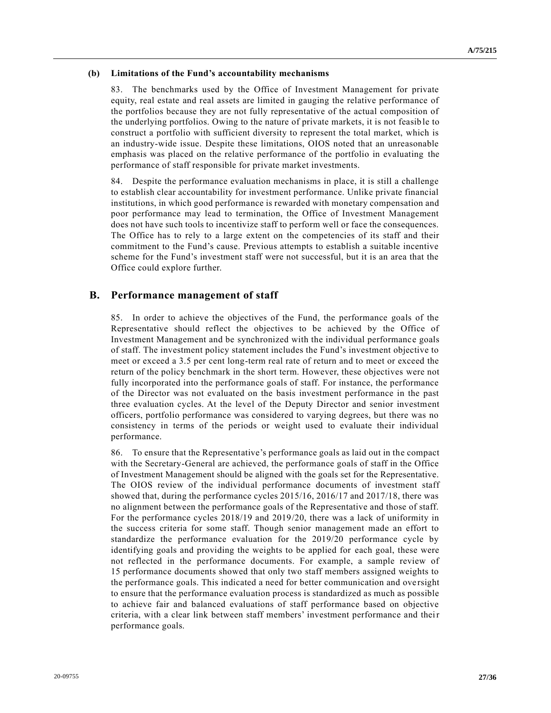#### **(b) Limitations of the Fund's accountability mechanisms**

83. The benchmarks used by the Office of Investment Management for private equity, real estate and real assets are limited in gauging the relative performance of the portfolios because they are not fully representative of the actual composition of the underlying portfolios. Owing to the nature of private markets, it is not feasib le to construct a portfolio with sufficient diversity to represent the total market, which is an industry-wide issue. Despite these limitations, OIOS noted that an unreasonable emphasis was placed on the relative performance of the portfolio in evaluating the performance of staff responsible for private market investments.

84. Despite the performance evaluation mechanisms in place, it is still a challenge to establish clear accountability for investment performance. Unlike private financial institutions, in which good performance is rewarded with monetary compensation and poor performance may lead to termination, the Office of Investment Management does not have such tools to incentivize staff to perform well or face the consequences. The Office has to rely to a large extent on the competencies of its staff and their commitment to the Fund's cause. Previous attempts to establish a suitable incentive scheme for the Fund's investment staff were not successful, but it is an area that the Office could explore further.

## **B. Performance management of staff**

85. In order to achieve the objectives of the Fund, the performance goals of the Representative should reflect the objectives to be achieved by the Office of Investment Management and be synchronized with the individual performance goals of staff. The investment policy statement includes the Fund's investment objective to meet or exceed a 3.5 per cent long-term real rate of return and to meet or exceed the return of the policy benchmark in the short term. However, these objectives were not fully incorporated into the performance goals of staff. For instance, the performance of the Director was not evaluated on the basis investment performance in the past three evaluation cycles. At the level of the Deputy Director and senior investment officers, portfolio performance was considered to varying degrees, but there was no consistency in terms of the periods or weight used to evaluate their individual performance.

86. To ensure that the Representative's performance goals as laid out in the compact with the Secretary-General are achieved, the performance goals of staff in the Office of Investment Management should be aligned with the goals set for the Representative. The OIOS review of the individual performance documents of investment staff showed that, during the performance cycles 2015/16, 2016/17 and 2017/18, there was no alignment between the performance goals of the Representative and those of staff. For the performance cycles 2018/19 and 2019/20, there was a lack of uniformity in the success criteria for some staff. Though senior management made an effort to standardize the performance evaluation for the 2019/20 performance cycle by identifying goals and providing the weights to be applied for each goal, these were not reflected in the performance documents. For example, a sample review of 15 performance documents showed that only two staff members assigned weights to the performance goals. This indicated a need for better communication and ove rsight to ensure that the performance evaluation process is standardized as much as possible to achieve fair and balanced evaluations of staff performance based on objective criteria, with a clear link between staff members' investment performance and their performance goals.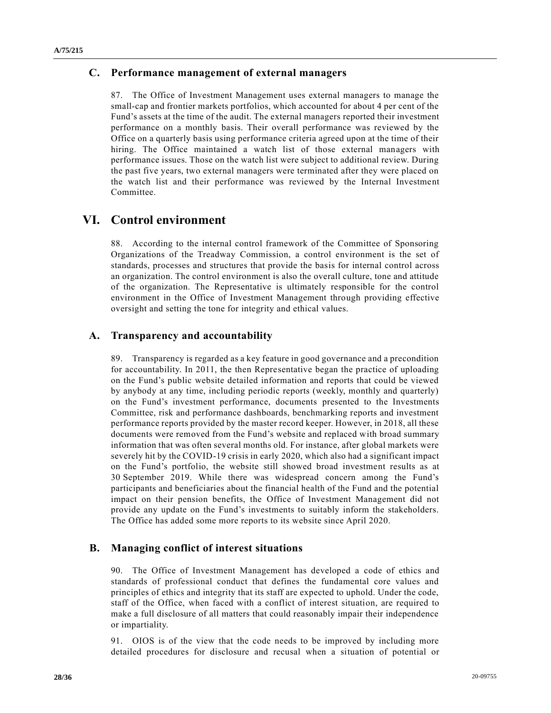## **C. Performance management of external managers**

87. The Office of Investment Management uses external managers to manage the small-cap and frontier markets portfolios, which accounted for about 4 per cent of the Fund's assets at the time of the audit. The external managers reported their investment performance on a monthly basis. Their overall performance was reviewed by the Office on a quarterly basis using performance criteria agreed upon at the time of their hiring. The Office maintained a watch list of those external managers with performance issues. Those on the watch list were subject to additional review. During the past five years, two external managers were terminated after they were placed on the watch list and their performance was reviewed by the Internal Investment Committee.

## **VI. Control environment**

88. According to the internal control framework of the Committee of Sponsoring Organizations of the Treadway Commission, a control environment is the set of standards, processes and structures that provide the basis for internal control across an organization. The control environment is also the overall culture, tone and attitude of the organization. The Representative is ultimately responsible for the control environment in the Office of Investment Management through providing effective oversight and setting the tone for integrity and ethical values.

## **A. Transparency and accountability**

89. Transparency is regarded as a key feature in good governance and a precondition for accountability. In 2011, the then Representative began the practice of uploading on the Fund's public website detailed information and reports that could be viewed by anybody at any time, including periodic reports (weekly, monthly and quarterly) on the Fund's investment performance, documents presented to the Investments Committee, risk and performance dashboards, benchmarking reports and investment performance reports provided by the master record keeper. However, in 2018, all these documents were removed from the Fund's website and replaced with broad summary information that was often several months old. For instance, after global markets were severely hit by the COVID-19 crisis in early 2020, which also had a significant impact on the Fund's portfolio, the website still showed broad investment results as at 30 September 2019. While there was widespread concern among the Fund's participants and beneficiaries about the financial health of the Fund and the potential impact on their pension benefits, the Office of Investment Management did not provide any update on the Fund's investments to suitably inform the stakeholders. The Office has added some more reports to its website since April 2020.

## **B. Managing conflict of interest situations**

90. The Office of Investment Management has developed a code of ethics and standards of professional conduct that defines the fundamental core values and principles of ethics and integrity that its staff are expected to uphold. Under the code, staff of the Office, when faced with a conflict of interest situation, are required to make a full disclosure of all matters that could reasonably impair their independence or impartiality.

91. OIOS is of the view that the code needs to be improved by including more detailed procedures for disclosure and recusal when a situation of potential or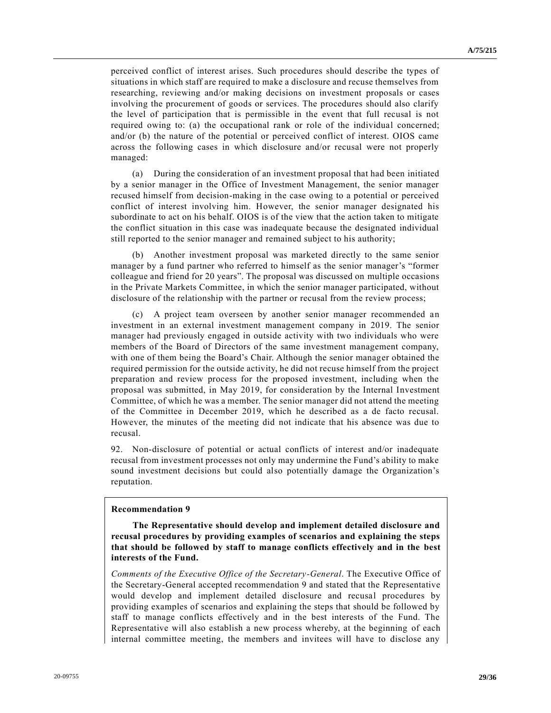perceived conflict of interest arises. Such procedures should describe the types of situations in which staff are required to make a disclosure and recuse themselves from researching, reviewing and/or making decisions on investment proposals or cases involving the procurement of goods or services. The procedures should also clarify the level of participation that is permissible in the event that full recusal is not required owing to: (a) the occupational rank or role of the individual concerned; and/or (b) the nature of the potential or perceived conflict of interest. OIOS came across the following cases in which disclosure and/or recusal were not properly managed:

(a) During the consideration of an investment proposal that had been initiated by a senior manager in the Office of Investment Management, the senior manager recused himself from decision-making in the case owing to a potential or perceived conflict of interest involving him. However, the senior manager designated his subordinate to act on his behalf. OIOS is of the view that the action taken to mitigate the conflict situation in this case was inadequate because the designated individual still reported to the senior manager and remained subject to his authority;

(b) Another investment proposal was marketed directly to the same senior manager by a fund partner who referred to himself as the senior manager's "former colleague and friend for 20 years". The proposal was discussed on multiple occasions in the Private Markets Committee, in which the senior manager participated, without disclosure of the relationship with the partner or recusal from the review process;

(c) A project team overseen by another senior manager recommended an investment in an external investment management company in 2019. The senior manager had previously engaged in outside activity with two individuals who were members of the Board of Directors of the same investment management company, with one of them being the Board's Chair. Although the senior manager obtained the required permission for the outside activity, he did not recuse himself from the project preparation and review process for the proposed investment, including when the proposal was submitted, in May 2019, for consideration by the Internal Investment Committee, of which he was a member. The senior manager did not attend the meeting of the Committee in December 2019, which he described as a de facto recusal. However, the minutes of the meeting did not indicate that his absence was due to recusal.

92. Non-disclosure of potential or actual conflicts of interest and/or inadequate recusal from investment processes not only may undermine the Fund's ability to make sound investment decisions but could also potentially damage the Organization's reputation.

#### **Recommendation 9**

**The Representative should develop and implement detailed disclosure and recusal procedures by providing examples of scenarios and explaining the steps that should be followed by staff to manage conflicts effectively and in the best interests of the Fund.**

*Comments of the Executive Office of the Secretary-General*. The Executive Office of the Secretary-General accepted recommendation 9 and stated that the Representative would develop and implement detailed disclosure and recusal procedures by providing examples of scenarios and explaining the steps that should be followed by staff to manage conflicts effectively and in the best interests of the Fund. The Representative will also establish a new process whereby, at the beginning of each internal committee meeting, the members and invitees will have to disclose any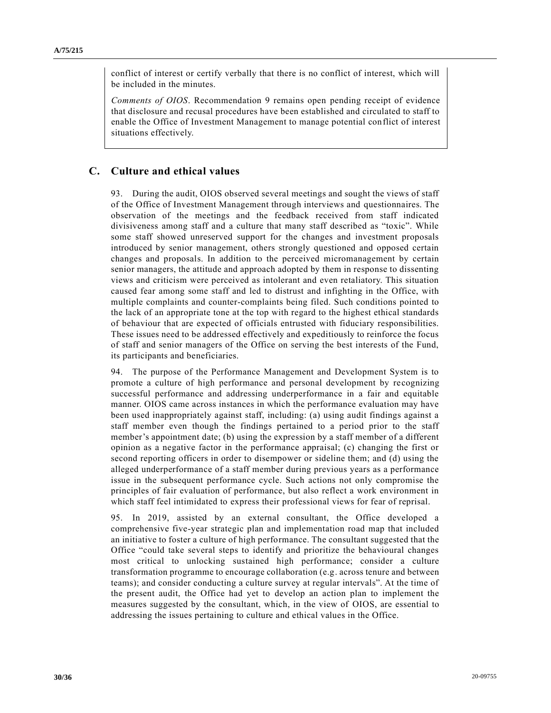conflict of interest or certify verbally that there is no conflict of interest, which will be included in the minutes.

*Comments of OIOS*. Recommendation 9 remains open pending receipt of evidence that disclosure and recusal procedures have been established and circulated to staff to enable the Office of Investment Management to manage potential conflict of interest situations effectively.

## **C. Culture and ethical values**

93. During the audit, OIOS observed several meetings and sought the views of staff of the Office of Investment Management through interviews and questionnaires. The observation of the meetings and the feedback received from staff indicated divisiveness among staff and a culture that many staff described as "toxic". While some staff showed unreserved support for the changes and investment proposals introduced by senior management, others strongly questioned and opposed certain changes and proposals. In addition to the perceived micromanagement by certain senior managers, the attitude and approach adopted by them in response to dissenting views and criticism were perceived as intolerant and even retaliatory. This situation caused fear among some staff and led to distrust and infighting in the Office, with multiple complaints and counter-complaints being filed. Such conditions pointed to the lack of an appropriate tone at the top with regard to the highest ethical standards of behaviour that are expected of officials entrusted with fiduciary responsibilities. These issues need to be addressed effectively and expeditiously to reinforce the focus of staff and senior managers of the Office on serving the best interests of the Fund, its participants and beneficiaries.

94. The purpose of the Performance Management and Development System is to promote a culture of high performance and personal development by recognizing successful performance and addressing underperformance in a fair and equitable manner. OIOS came across instances in which the performance evaluation may have been used inappropriately against staff, including: (a) using audit findings against a staff member even though the findings pertained to a period prior to the staff member's appointment date; (b) using the expression by a staff member of a different opinion as a negative factor in the performance appraisal; (c) changing the first or second reporting officers in order to disempower or sideline them; and (d) using the alleged underperformance of a staff member during previous years as a performance issue in the subsequent performance cycle. Such actions not only compromise the principles of fair evaluation of performance, but also reflect a work environment in which staff feel intimidated to express their professional views for fear of reprisal.

95. In 2019, assisted by an external consultant, the Office developed a comprehensive five-year strategic plan and implementation road map that included an initiative to foster a culture of high performance. The consultant suggested that the Office "could take several steps to identify and prioritize the behavioural changes most critical to unlocking sustained high performance; consider a culture transformation programme to encourage collaboration (e.g. across tenure and between teams); and consider conducting a culture survey at regular intervals". At the time of the present audit, the Office had yet to develop an action plan to implement the measures suggested by the consultant, which, in the view of OIOS, are essential to addressing the issues pertaining to culture and ethical values in the Office.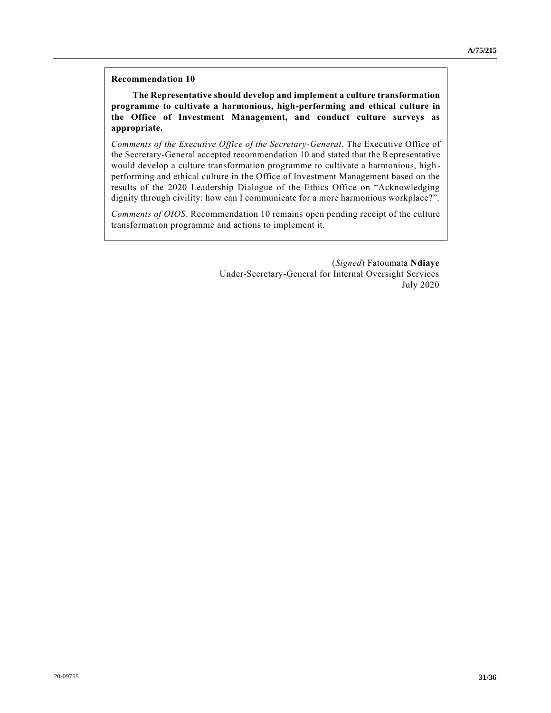#### **Recommendation 10**

**The Representative should develop and implement a culture transformation programme to cultivate a harmonious, high-performing and ethical culture in the Office of Investment Management, and conduct culture surveys as appropriate.**

*Comments of the Executive Office of the Secretary-General*. The Executive Office of the Secretary-General accepted recommendation 10 and stated that the Representative would develop a culture transformation programme to cultivate a harmonious, highperforming and ethical culture in the Office of Investment Management based on the results of the 2020 Leadership Dialogue of the Ethics Office on "Acknowledging dignity through civility: how can I communicate for a more harmonious workplace?".

*Comments of OIOS*. Recommendation 10 remains open pending receipt of the culture transformation programme and actions to implement it.

> (*Signed*) Fatoumata **Ndiaye** Under-Secretary-General for Internal Oversight Services July 2020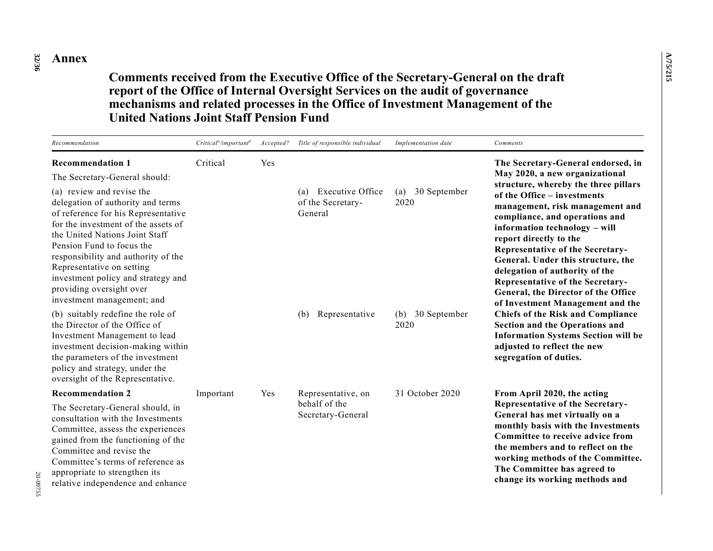**32 /36 Annex**

**Comments received from the Executive Office of the Secretary-General on the draft report of the Office of Internal Oversight Services on the audit of governance mechanisms and related processes in the Office of Investment Management of the United Nations Joint Staff Pension Fund**

| Recommendation                                                                                                                                                                                                                                                                                                                                                                                                   | $Criticala/importantb$ | Accepted? | Title of responsible individual                         | Implementation date         | Comments                                                                                                                                                                                                                                                                                                                                                                                                                            |  |
|------------------------------------------------------------------------------------------------------------------------------------------------------------------------------------------------------------------------------------------------------------------------------------------------------------------------------------------------------------------------------------------------------------------|------------------------|-----------|---------------------------------------------------------|-----------------------------|-------------------------------------------------------------------------------------------------------------------------------------------------------------------------------------------------------------------------------------------------------------------------------------------------------------------------------------------------------------------------------------------------------------------------------------|--|
| <b>Recommendation 1</b>                                                                                                                                                                                                                                                                                                                                                                                          | Critical               | Yes       |                                                         |                             | The Secretary-General endorsed, in                                                                                                                                                                                                                                                                                                                                                                                                  |  |
| The Secretary-General should:<br>(a) review and revise the<br>delegation of authority and terms<br>of reference for his Representative<br>for the investment of the assets of<br>the United Nations Joint Staff<br>Pension Fund to focus the<br>responsibility and authority of the<br>Representative on setting<br>investment policy and strategy and<br>providing oversight over<br>investment management; and |                        |           | Executive Office<br>(a)<br>of the Secretary-<br>General | 30 September<br>(a)<br>2020 | May 2020, a new organizational<br>structure, whereby the three pillars<br>of the Office - investments<br>management, risk management and<br>compliance, and operations and<br>information technology - will<br>report directly to the<br><b>Representative of the Secretary-</b><br>General. Under this structure, the<br>delegation of authority of the<br>Representative of the Secretary-<br>General, the Director of the Office |  |
| (b) suitably redefine the role of<br>the Director of the Office of<br>Investment Management to lead<br>investment decision-making within<br>the parameters of the investment<br>policy and strategy, under the<br>oversight of the Representative.                                                                                                                                                               |                        |           | Representative<br>(b)                                   | 30 September<br>(b)<br>2020 | of Investment Management and the<br><b>Chiefs of the Risk and Compliance</b><br><b>Section and the Operations and</b><br><b>Information Systems Section will be</b><br>adjusted to reflect the new<br>segregation of duties.                                                                                                                                                                                                        |  |
| <b>Recommendation 2</b>                                                                                                                                                                                                                                                                                                                                                                                          | Important              | Yes       | Representative, on                                      | 31 October 2020             | From April 2020, the acting                                                                                                                                                                                                                                                                                                                                                                                                         |  |
| The Secretary-General should, in<br>consultation with the Investments<br>Committee, assess the experiences<br>gained from the functioning of the<br>Committee and revise the<br>Committee's terms of reference as<br>appropriate to strengthen its<br>relative independence and enhance                                                                                                                          |                        |           | behalf of the<br>Secretary-General                      |                             | Representative of the Secretary-<br>General has met virtually on a<br>monthly basis with the Investments<br>Committee to receive advice from<br>the members and to reflect on the<br>working methods of the Committee.<br>The Committee has agreed to<br>change its working methods and                                                                                                                                             |  |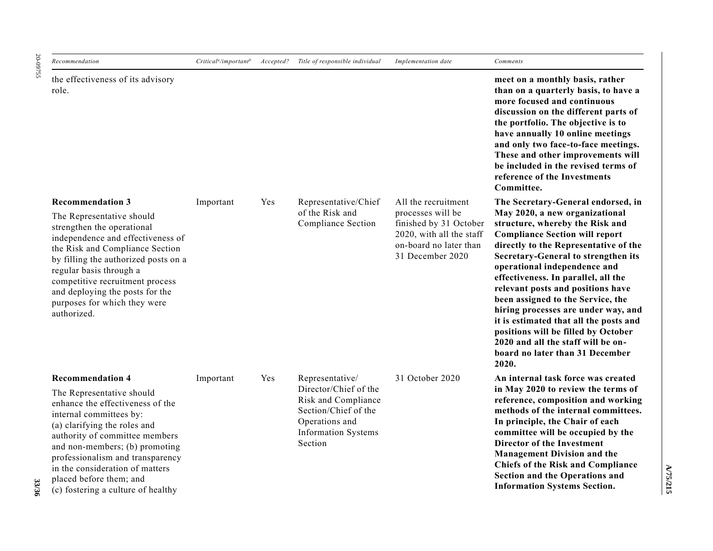20-09755 20-09755

| Recommendation                                                                                                                                                                                                                                                                                                                                                  | $Criticala/importantb$ |     | Accepted? Title of responsible individual                                                                                                          | Implementation date                                                                                                                          | Comments                                                                                                                                                                                                                                                                                                                                                                                                                                                                                                                                                                                    |
|-----------------------------------------------------------------------------------------------------------------------------------------------------------------------------------------------------------------------------------------------------------------------------------------------------------------------------------------------------------------|------------------------|-----|----------------------------------------------------------------------------------------------------------------------------------------------------|----------------------------------------------------------------------------------------------------------------------------------------------|---------------------------------------------------------------------------------------------------------------------------------------------------------------------------------------------------------------------------------------------------------------------------------------------------------------------------------------------------------------------------------------------------------------------------------------------------------------------------------------------------------------------------------------------------------------------------------------------|
| the effectiveness of its advisory<br>role.                                                                                                                                                                                                                                                                                                                      |                        |     |                                                                                                                                                    |                                                                                                                                              | meet on a monthly basis, rather<br>than on a quarterly basis, to have a<br>more focused and continuous<br>discussion on the different parts of<br>the portfolio. The objective is to<br>have annually 10 online meetings<br>and only two face-to-face meetings.<br>These and other improvements will<br>be included in the revised terms of<br>reference of the Investments<br>Committee.                                                                                                                                                                                                   |
| <b>Recommendation 3</b><br>The Representative should<br>strengthen the operational<br>independence and effectiveness of<br>the Risk and Compliance Section<br>by filling the authorized posts on a<br>regular basis through a<br>competitive recruitment process<br>and deploying the posts for the<br>purposes for which they were<br>authorized.              | Important              | Yes | Representative/Chief<br>of the Risk and<br>Compliance Section                                                                                      | All the recruitment<br>processes will be<br>finished by 31 October<br>2020, with all the staff<br>on-board no later than<br>31 December 2020 | The Secretary-General endorsed, in<br>May 2020, a new organizational<br>structure, whereby the Risk and<br><b>Compliance Section will report</b><br>directly to the Representative of the<br>Secretary-General to strengthen its<br>operational independence and<br>effectiveness. In parallel, all the<br>relevant posts and positions have<br>been assigned to the Service, the<br>hiring processes are under way, and<br>it is estimated that all the posts and<br>positions will be filled by October<br>2020 and all the staff will be on-<br>board no later than 31 December<br>2020. |
| <b>Recommendation 4</b><br>The Representative should<br>enhance the effectiveness of the<br>internal committees by:<br>(a) clarifying the roles and<br>authority of committee members<br>and non-members; (b) promoting<br>professionalism and transparency<br>in the consideration of matters<br>placed before them; and<br>(c) fostering a culture of healthy | Important              | Yes | Representative/<br>Director/Chief of the<br>Risk and Compliance<br>Section/Chief of the<br>Operations and<br><b>Information Systems</b><br>Section | 31 October 2020                                                                                                                              | An internal task force was created<br>in May 2020 to review the terms of<br>reference, composition and working<br>methods of the internal committees.<br>In principle, the Chair of each<br>committee will be occupied by the<br>Director of the Investment<br><b>Management Division and the</b><br><b>Chiefs of the Risk and Compliance</b><br>Section and the Operations and<br><b>Information Systems Section.</b>                                                                                                                                                                      |

**A/75/215 A/75/215**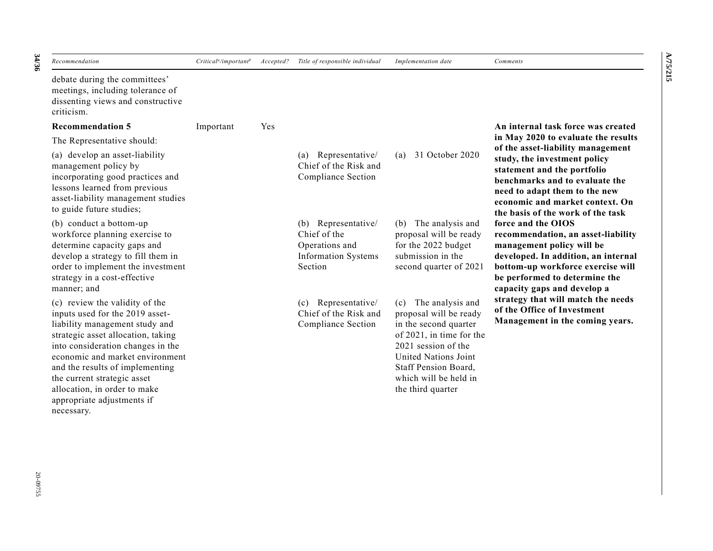| Recommendation                                                                                                                                                                                                                                                                                                                                    | $Criticala/importantb$ | Accepted? | Title of responsible individual                                                                | Implementation date                                                                                                                                                                                                      | Comments                                                                                                                                                                                                                                    |
|---------------------------------------------------------------------------------------------------------------------------------------------------------------------------------------------------------------------------------------------------------------------------------------------------------------------------------------------------|------------------------|-----------|------------------------------------------------------------------------------------------------|--------------------------------------------------------------------------------------------------------------------------------------------------------------------------------------------------------------------------|---------------------------------------------------------------------------------------------------------------------------------------------------------------------------------------------------------------------------------------------|
| debate during the committees'<br>meetings, including tolerance of<br>dissenting views and constructive<br>criticism.                                                                                                                                                                                                                              |                        |           |                                                                                                |                                                                                                                                                                                                                          |                                                                                                                                                                                                                                             |
| <b>Recommendation 5</b>                                                                                                                                                                                                                                                                                                                           | Important              | Yes       |                                                                                                |                                                                                                                                                                                                                          | An internal task force was created                                                                                                                                                                                                          |
| The Representative should:                                                                                                                                                                                                                                                                                                                        |                        |           |                                                                                                |                                                                                                                                                                                                                          | in May 2020 to evaluate the results                                                                                                                                                                                                         |
| (a) develop an asset-liability<br>management policy by<br>incorporating good practices and<br>lessons learned from previous<br>asset-liability management studies<br>to guide future studies;                                                                                                                                                     |                        |           | (a) Representative/<br>Chief of the Risk and<br>Compliance Section                             | 31 October 2020<br>(a)                                                                                                                                                                                                   | of the asset-liability management<br>study, the investment policy<br>statement and the portfolio<br>benchmarks and to evaluate the<br>need to adapt them to the new<br>economic and market context. On<br>the basis of the work of the task |
| (b) conduct a bottom-up<br>workforce planning exercise to<br>determine capacity gaps and<br>develop a strategy to fill them in<br>order to implement the investment<br>strategy in a cost-effective<br>manner; and                                                                                                                                |                        |           | (b) Representative/<br>Chief of the<br>Operations and<br><b>Information Systems</b><br>Section | (b) The analysis and<br>proposal will be ready<br>for the 2022 budget<br>submission in the<br>second quarter of 2021                                                                                                     | force and the OIOS<br>recommendation, an asset-liability<br>management policy will be<br>developed. In addition, an internal<br>bottom-up workforce exercise will<br>be performed to determine the<br>capacity gaps and develop a           |
| (c) review the validity of the<br>inputs used for the 2019 asset-<br>liability management study and<br>strategic asset allocation, taking<br>into consideration changes in the<br>economic and market environment<br>and the results of implementing<br>the current strategic asset<br>allocation, in order to make<br>appropriate adjustments if |                        |           | (c) Representative/<br>Chief of the Risk and<br>Compliance Section                             | (c) The analysis and<br>proposal will be ready<br>in the second quarter<br>of 2021, in time for the<br>2021 session of the<br>United Nations Joint<br>Staff Pension Board,<br>which will be held in<br>the third quarter | strategy that will match the needs<br>of the Office of Investment<br>Management in the coming years.                                                                                                                                        |

**A/75/215**

**A/75/215** 

**34 /36**

necessary.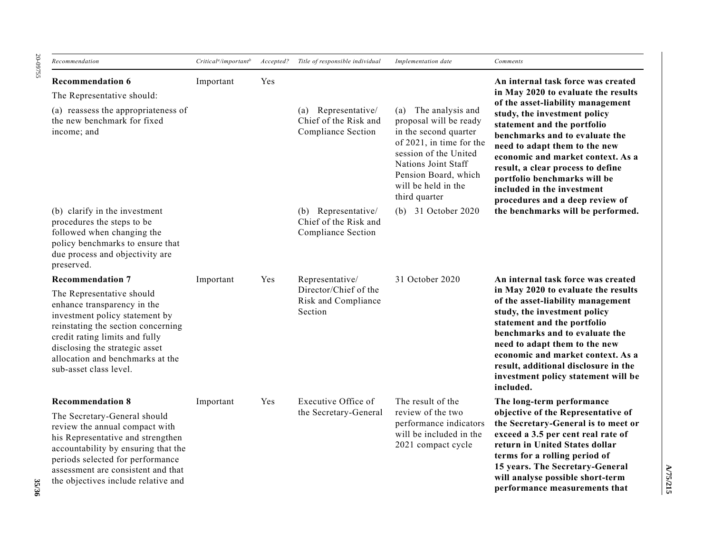20-09755 20-09755

| Recommendation                                                                                                                                                                                                                                                     | $Criticala/importantb$ | Accepted?       | Title of responsible individual                                    | Implementation date                                                                                                                                                                                                    | Comments                                                                                                                                                                                                                                                                                                                                       |
|--------------------------------------------------------------------------------------------------------------------------------------------------------------------------------------------------------------------------------------------------------------------|------------------------|-----------------|--------------------------------------------------------------------|------------------------------------------------------------------------------------------------------------------------------------------------------------------------------------------------------------------------|------------------------------------------------------------------------------------------------------------------------------------------------------------------------------------------------------------------------------------------------------------------------------------------------------------------------------------------------|
| <b>Recommendation 6</b><br>The Representative should:                                                                                                                                                                                                              | Important              | Yes             |                                                                    |                                                                                                                                                                                                                        | An internal task force was created<br>in May 2020 to evaluate the results                                                                                                                                                                                                                                                                      |
| (a) reassess the appropriateness of<br>the new benchmark for fixed<br>income; and                                                                                                                                                                                  |                        |                 | (a) Representative/<br>Chief of the Risk and<br>Compliance Section | The analysis and<br>(a)<br>proposal will be ready<br>in the second quarter<br>of 2021, in time for the<br>session of the United<br>Nations Joint Staff<br>Pension Board, which<br>will be held in the<br>third quarter | of the asset-liability management<br>study, the investment policy<br>statement and the portfolio<br>benchmarks and to evaluate the<br>need to adapt them to the new<br>economic and market context. As a<br>result, a clear process to define<br>portfolio benchmarks will be<br>included in the investment<br>procedures and a deep review of |
| (b) clarify in the investment<br>procedures the steps to be<br>followed when changing the<br>policy benchmarks to ensure that<br>due process and objectivity are<br>preserved.                                                                                     |                        |                 | (b) Representative/<br>Chief of the Risk and<br>Compliance Section | (b) 31 October 2020                                                                                                                                                                                                    | the benchmarks will be performed.                                                                                                                                                                                                                                                                                                              |
| <b>Recommendation 7</b>                                                                                                                                                                                                                                            | Important<br>Yes       | Representative/ | 31 October 2020                                                    | An internal task force was created                                                                                                                                                                                     |                                                                                                                                                                                                                                                                                                                                                |
| The Representative should<br>enhance transparency in the<br>investment policy statement by<br>reinstating the section concerning<br>credit rating limits and fully<br>disclosing the strategic asset<br>allocation and benchmarks at the<br>sub-asset class level. |                        |                 | Director/Chief of the<br>Risk and Compliance<br>Section            |                                                                                                                                                                                                                        | in May 2020 to evaluate the results<br>of the asset-liability management<br>study, the investment policy<br>statement and the portfolio<br>benchmarks and to evaluate the<br>need to adapt them to the new<br>economic and market context. As a<br>result, additional disclosure in the<br>investment policy statement will be<br>included.    |
| <b>Recommendation 8</b>                                                                                                                                                                                                                                            | Yes<br>Important       |                 | Executive Office of                                                | The result of the                                                                                                                                                                                                      | The long-term performance                                                                                                                                                                                                                                                                                                                      |
| The Secretary-General should<br>review the annual compact with<br>his Representative and strengthen<br>accountability by ensuring that the<br>periods selected for performance<br>assessment are consistent and that<br>the objectives include relative and        |                        |                 | the Secretary-General                                              | review of the two<br>performance indicators<br>will be included in the<br>2021 compact cycle                                                                                                                           | objective of the Representative of<br>the Secretary-General is to meet or<br>exceed a 3.5 per cent real rate of<br>return in United States dollar<br>terms for a rolling period of<br>15 years. The Secretary-General<br>will analyse possible short-term<br>performance measurements that                                                     |